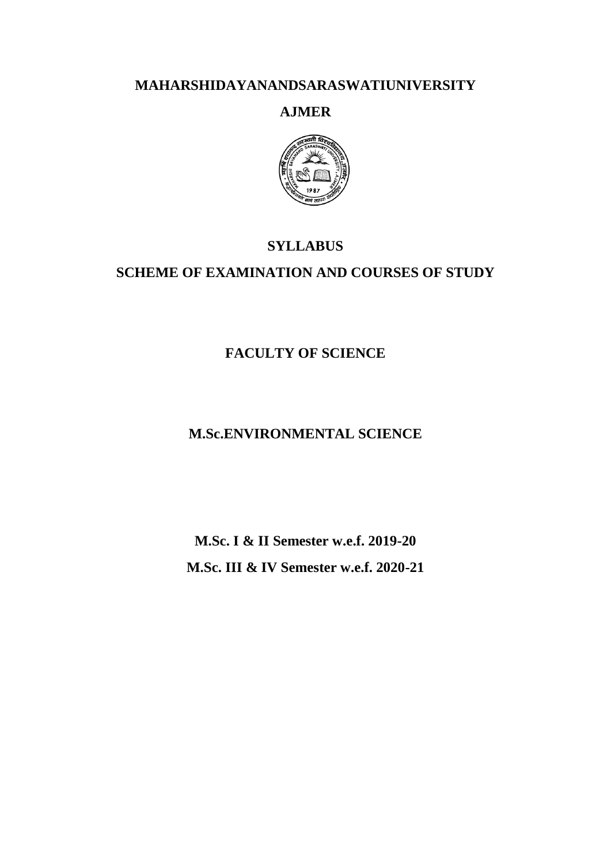# **MAHARSHIDAYANANDSARASWATIUNIVERSITY**

# **AJMER**



# **SYLLABUS**

# **SCHEME OF EXAMINATION AND COURSES OF STUDY**

# **FACULTY OF SCIENCE**

# **M.Sc.ENVIRONMENTAL SCIENCE**

**M.Sc. I & II Semester w.e.f. 2019-20 M.Sc. III & IV Semester w.e.f. 2020-21**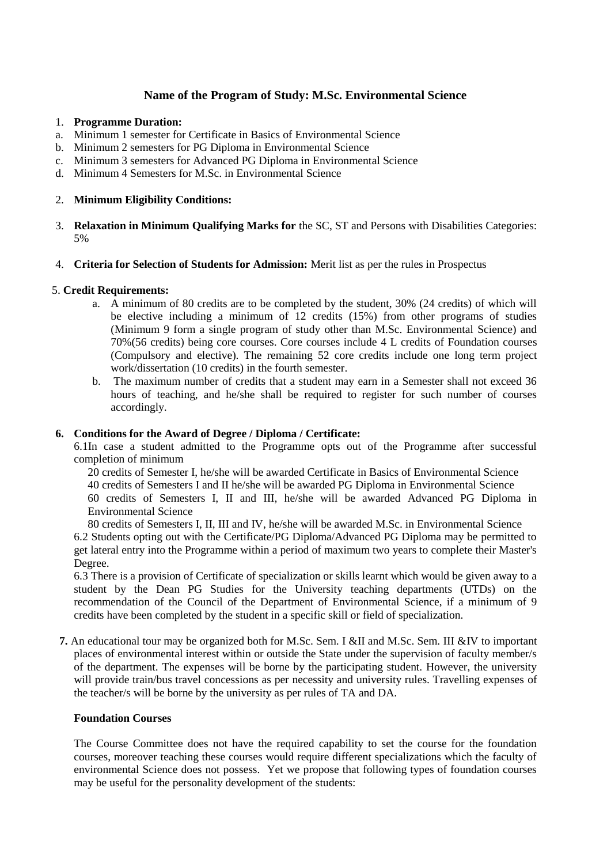# **Name of the Program of Study: M.Sc. Environmental Science**

- 1. **Programme Duration:**
- a. Minimum 1 semester for Certificate in Basics of Environmental Science
- b. Minimum 2 semesters for PG Diploma in Environmental Science
- c. Minimum 3 semesters for Advanced PG Diploma in Environmental Science
- d. Minimum 4 Semesters for M.Sc. in Environmental Science

## 2. **Minimum Eligibility Conditions:**

- 3. **Relaxation in Minimum Qualifying Marks for** the SC, ST and Persons with Disabilities Categories: 5%
- 4. **Criteria for Selection of Students for Admission:** Merit list as per the rules in Prospectus

## 5. **Credit Requirements:**

- a. A minimum of 80 credits are to be completed by the student, 30% (24 credits) of which will be elective including a minimum of 12 credits (15%) from other programs of studies (Minimum 9 form a single program of study other than M.Sc. Environmental Science) and 70%(56 credits) being core courses. Core courses include 4 L credits of Foundation courses (Compulsory and elective). The remaining 52 core credits include one long term project work/dissertation (10 credits) in the fourth semester.
- b. The maximum number of credits that a student may earn in a Semester shall not exceed 36 hours of teaching, and he/she shall be required to register for such number of courses accordingly.

## **6. Conditions for the Award of Degree / Diploma / Certificate:**

6.1In case a student admitted to the Programme opts out of the Programme after successful completion of minimum

20 credits of Semester I, he/she will be awarded Certificate in Basics of Environmental Science

40 credits of Semesters I and II he/she will be awarded PG Diploma in Environmental Science

60 credits of Semesters I, II and III, he/she will be awarded Advanced PG Diploma in Environmental Science

80 credits of Semesters I, II, III and IV, he/she will be awarded M.Sc. in Environmental Science 6.2 Students opting out with the Certificate/PG Diploma/Advanced PG Diploma may be permitted to get lateral entry into the Programme within a period of maximum two years to complete their Master's Degree.

6.3 There is a provision of Certificate of specialization or skills learnt which would be given away to a student by the Dean PG Studies for the University teaching departments (UTDs) on the recommendation of the Council of the Department of Environmental Science, if a minimum of 9 credits have been completed by the student in a specific skill or field of specialization.

**7.** An educational tour may be organized both for M.Sc. Sem. I &II and M.Sc. Sem. III &IV to important places of environmental interest within or outside the State under the supervision of faculty member/s of the department. The expenses will be borne by the participating student. However, the university will provide train/bus travel concessions as per necessity and university rules. Travelling expenses of the teacher/s will be borne by the university as per rules of TA and DA.

## **Foundation Courses**

The Course Committee does not have the required capability to set the course for the foundation courses, moreover teaching these courses would require different specializations which the faculty of environmental Science does not possess. Yet we propose that following types of foundation courses may be useful for the personality development of the students: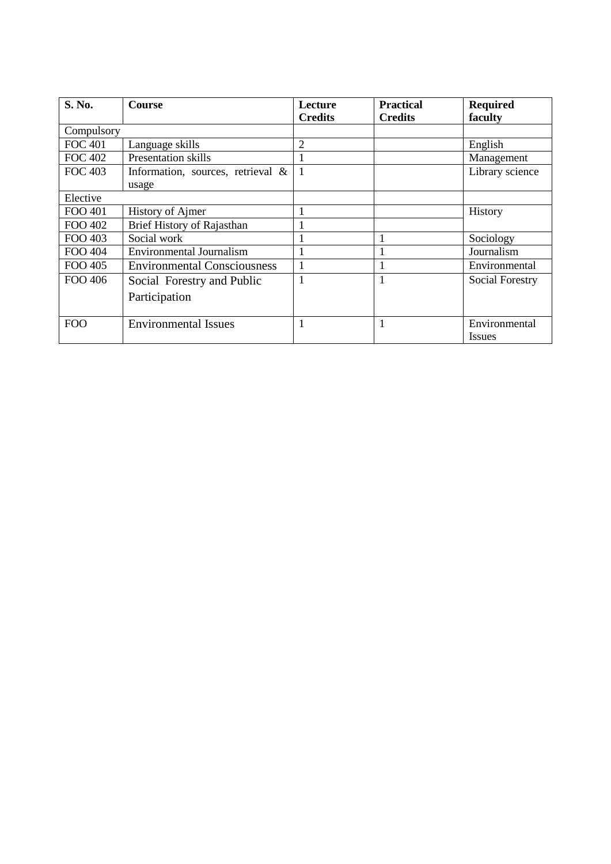| <b>S. No.</b>  | <b>Course</b>                        | Lecture<br><b>Credits</b> | <b>Practical</b><br><b>Credits</b> | <b>Required</b><br>faculty     |
|----------------|--------------------------------------|---------------------------|------------------------------------|--------------------------------|
| Compulsory     |                                      |                           |                                    |                                |
| <b>FOC 401</b> | Language skills                      | $\overline{2}$            |                                    | English                        |
| <b>FOC 402</b> | <b>Presentation skills</b>           |                           |                                    | Management                     |
| <b>FOC 403</b> | Information, sources, retrieval $\&$ |                           |                                    | Library science                |
|                | usage                                |                           |                                    |                                |
| Elective       |                                      |                           |                                    |                                |
| FOO 401        | <b>History of Ajmer</b>              |                           |                                    | History                        |
| FOO 402        | <b>Brief History of Rajasthan</b>    |                           |                                    |                                |
| FOO 403        | Social work                          |                           |                                    | Sociology                      |
| FOO 404        | <b>Environmental Journalism</b>      |                           |                                    | Journalism                     |
| FOO 405        | <b>Environmental Consciousness</b>   |                           |                                    | Environmental                  |
| FOO 406        | Social Forestry and Public           | 1                         |                                    | <b>Social Forestry</b>         |
|                | Participation                        |                           |                                    |                                |
| <b>FOO</b>     | <b>Environmental Issues</b>          |                           |                                    | Environmental<br><i>Issues</i> |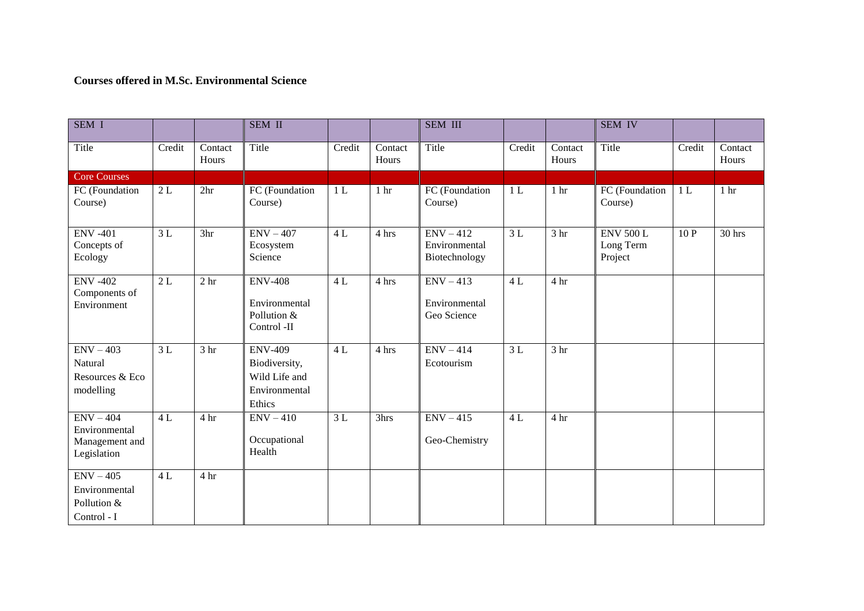# **Courses offered in M.Sc. Environmental Science**

| SEM <sub>I</sub>                                              |        |                  | <b>SEM II</b>                                                               |                |                                      | <b>SEM III</b>                                |                |                           | <b>SEM IV</b>                            |        |                  |
|---------------------------------------------------------------|--------|------------------|-----------------------------------------------------------------------------|----------------|--------------------------------------|-----------------------------------------------|----------------|---------------------------|------------------------------------------|--------|------------------|
| Title                                                         | Credit | Contact<br>Hours | Title                                                                       | Credit         | $\overline{\text{Context}}$<br>Hours | Title                                         | Credit         | Contact<br>Hours          | Title                                    | Credit | Contact<br>Hours |
| <b>Core Courses</b>                                           |        |                  |                                                                             |                |                                      |                                               |                |                           |                                          |        |                  |
| FC (Foundation<br>Course)                                     | 2L     | 2 <sup>hr</sup>  | FC (Foundation<br>Course)                                                   | 1 <sub>L</sub> | 1 <sub>hr</sub>                      | FC (Foundation<br>Course)                     | 1 <sub>L</sub> | 1 <sup>hr</sup>           | FC (Foundation<br>Course)                | 1L     | 1 <sub>hr</sub>  |
| <b>ENV-401</b><br>Concepts of<br>Ecology                      | 3L     | 3hr              | $ENV - 407$<br>Ecosystem<br>Science                                         | 4L             | 4 hrs                                | $ENV - 412$<br>Environmental<br>Biotechnology | 3L             | $\overline{3 \text{ hr}}$ | <b>ENV 500 L</b><br>Long Term<br>Project | 10 P   | 30 hrs           |
| <b>ENV -402</b><br>Components of<br>Environment               | 2L     | 2 <sub>hr</sub>  | <b>ENV-408</b><br>Environmental<br>Pollution &<br>Control -II               | 4L             | 4 hrs                                | $ENV - 413$<br>Environmental<br>Geo Science   | 4L             | 4 hr                      |                                          |        |                  |
| $ENV - 403$<br>Natural<br>Resources & Eco<br>modelling        | 3L     | 3 <sub>hr</sub>  | <b>ENV-409</b><br>Biodiversity,<br>Wild Life and<br>Environmental<br>Ethics | 4L             | 4 hrs                                | $ENV - 414$<br>Ecotourism                     | 3L             | 3 <sub>hr</sub>           |                                          |        |                  |
| $ENV - 404$<br>Environmental<br>Management and<br>Legislation | 4L     | 4 hr             | $ENV - 410$<br>Occupational<br>Health                                       | 3L             | 3hrs                                 | $ENV - 415$<br>Geo-Chemistry                  | 4L             | 4 hr                      |                                          |        |                  |
| $ENV - 405$<br>Environmental<br>Pollution &<br>Control - I    | 4L     | 4 hr             |                                                                             |                |                                      |                                               |                |                           |                                          |        |                  |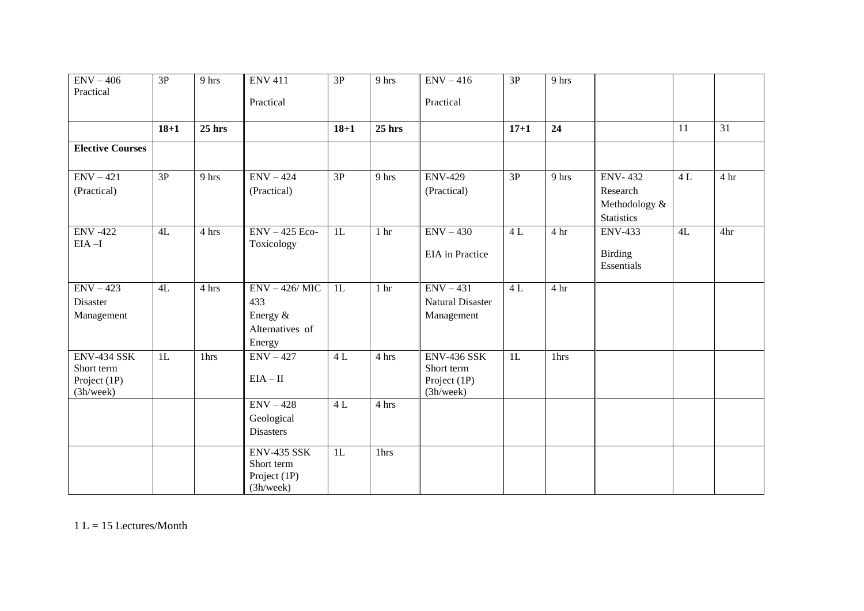| $ENV - 406$                                            | $\overline{3P}$ | 9 hrs    | <b>ENV 411</b>                                                  | 3P       | 9 hrs           | $ENV - 416$                                                   | $\overline{3P}$ | $9$ hrs          |                                                |    |                 |
|--------------------------------------------------------|-----------------|----------|-----------------------------------------------------------------|----------|-----------------|---------------------------------------------------------------|-----------------|------------------|------------------------------------------------|----|-----------------|
| Practical                                              |                 |          | Practical                                                       |          |                 | Practical                                                     |                 |                  |                                                |    |                 |
|                                                        | $18 + 1$        | $25$ hrs |                                                                 | $18 + 1$ | $25$ hrs        |                                                               | $17 + 1$        | 24               |                                                | 11 | $\overline{31}$ |
| <b>Elective Courses</b>                                |                 |          |                                                                 |          |                 |                                                               |                 |                  |                                                |    |                 |
| $ENV - 421$                                            | $\overline{3P}$ | 9 hrs    | $ENV - 424$                                                     | 3P       | 9 hrs           | <b>ENV-429</b>                                                | $\overline{3P}$ | $9$ hrs          | <b>ENV-432</b>                                 | 4L | 4 <sup>hr</sup> |
| (Practical)                                            |                 |          | (Practical)                                                     |          |                 | (Practical)                                                   |                 |                  | Research<br>Methodology &<br><b>Statistics</b> |    |                 |
| <b>ENV-422</b><br>$EIA-I$                              | 4L              | 4 hrs    | $ENV - 425 Eco-$<br>Toxicology                                  | 1L       | 1 <sup>hr</sup> | $ENV - 430$<br>EIA in Practice                                | 4L              | 4 hr             | <b>ENV-433</b><br><b>Birding</b><br>Essentials | 4L | 4hr             |
| $ENV - 423$<br>Disaster<br>Management                  | 4L              | 4 hrs    | $ENV - 426/MIC$<br>433<br>Energy &<br>Alternatives of<br>Energy | 1L       | 1 <sub>hr</sub> | $ENV - 431$<br>Natural Disaster<br>Management                 | 4L              | 4 hr             |                                                |    |                 |
| ENV-434 SSK<br>Short term<br>Project (1P)<br>(3h/week) | 1L              | 1hrs     | $ENV - 427$<br>$EIA - II$                                       | 4L       | 4 hrs           | <b>ENV-436 SSK</b><br>Short term<br>Project (1P)<br>(3h/week) | 1L              | 1 <sub>hrs</sub> |                                                |    |                 |
|                                                        |                 |          | $ENV - 428$<br>Geological<br><b>Disasters</b>                   | 4L       | 4 hrs           |                                                               |                 |                  |                                                |    |                 |
|                                                        |                 |          | <b>ENV-435 SSK</b><br>Short term<br>Project (1P)<br>(3h/week)   | 1L       | 1hrs            |                                                               |                 |                  |                                                |    |                 |

 $1 L = 15$  Lectures/Month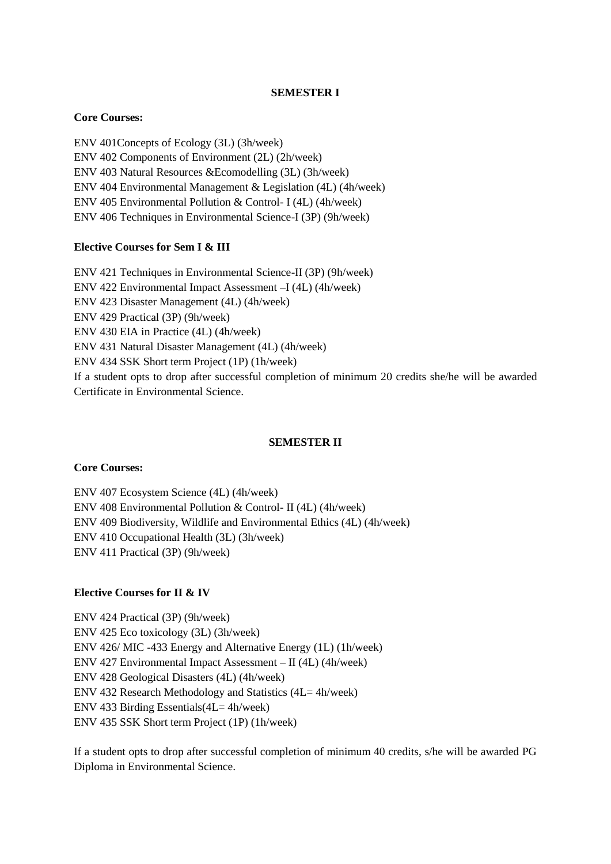## **SEMESTER I**

## **Core Courses:**

ENV 401Concepts of Ecology (3L) (3h/week) ENV 402 Components of Environment (2L) (2h/week) ENV 403 Natural Resources &Ecomodelling (3L) (3h/week) ENV 404 Environmental Management & Legislation (4L) (4h/week) ENV 405 Environmental Pollution & Control- I (4L) (4h/week) ENV 406 Techniques in Environmental Science-I (3P) (9h/week)

## **Elective Courses for Sem I & III**

ENV 421 Techniques in Environmental Science-II (3P) (9h/week) ENV 422 Environmental Impact Assessment –I (4L) (4h/week) ENV 423 Disaster Management (4L) (4h/week) ENV 429 Practical (3P) (9h/week) ENV 430 EIA in Practice (4L) (4h/week) ENV 431 Natural Disaster Management (4L) (4h/week) ENV 434 SSK Short term Project (1P) (1h/week) If a student opts to drop after successful completion of minimum 20 credits she/he will be awarded Certificate in Environmental Science.

## **SEMESTER II**

## **Core Courses:**

ENV 407 Ecosystem Science (4L) (4h/week) ENV 408 Environmental Pollution & Control- II (4L) (4h/week) ENV 409 Biodiversity, Wildlife and Environmental Ethics (4L) (4h/week) ENV 410 Occupational Health (3L) (3h/week) ENV 411 Practical (3P) (9h/week)

## **Elective Courses for II & IV**

ENV 424 Practical (3P) (9h/week) ENV 425 Eco toxicology (3L) (3h/week) ENV 426/ MIC -433 Energy and Alternative Energy (1L) (1h/week) ENV 427 Environmental Impact Assessment – II (4L) (4h/week) ENV 428 Geological Disasters (4L) (4h/week) ENV 432 Research Methodology and Statistics (4L= 4h/week) ENV 433 Birding Essentials(4L= 4h/week) ENV 435 SSK Short term Project (1P) (1h/week)

If a student opts to drop after successful completion of minimum 40 credits, s/he will be awarded PG Diploma in Environmental Science.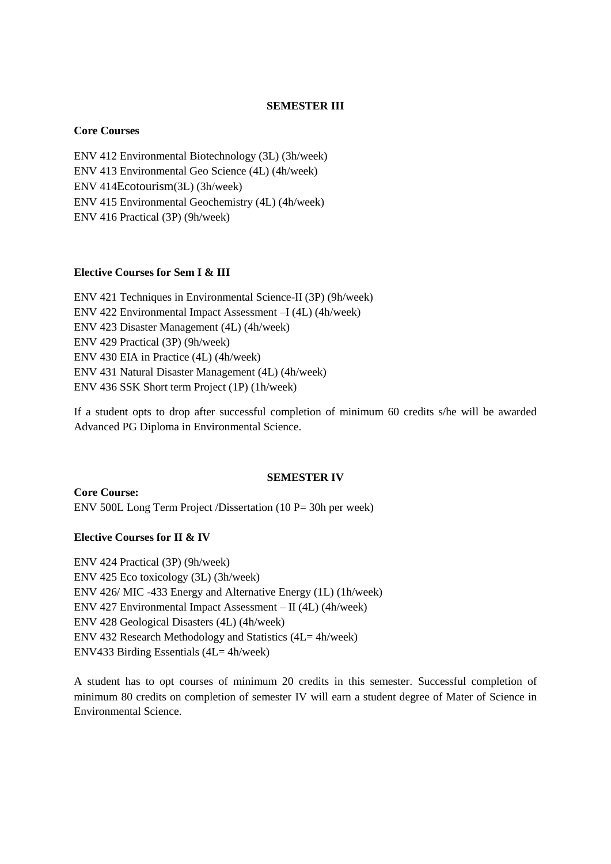### **SEMESTER III**

#### **Core Courses**

ENV 412 Environmental Biotechnology (3L) (3h/week) ENV 413 Environmental Geo Science (4L) (4h/week) ENV 414Ecotourism(3L) (3h/week) ENV 415 Environmental Geochemistry (4L) (4h/week) ENV 416 Practical (3P) (9h/week)

## **Elective Courses for Sem I & III**

ENV 421 Techniques in Environmental Science-II (3P) (9h/week) ENV 422 Environmental Impact Assessment –I (4L) (4h/week) ENV 423 Disaster Management (4L) (4h/week) ENV 429 Practical (3P) (9h/week) ENV 430 EIA in Practice (4L) (4h/week) ENV 431 Natural Disaster Management (4L) (4h/week) ENV 436 SSK Short term Project (1P) (1h/week)

If a student opts to drop after successful completion of minimum 60 credits s/he will be awarded Advanced PG Diploma in Environmental Science.

#### **SEMESTER IV**

**Core Course:** ENV 500L Long Term Project /Dissertation (10 P= 30h per week)

## **Elective Courses for II & IV**

ENV 424 Practical (3P) (9h/week) ENV 425 Eco toxicology (3L) (3h/week) ENV 426/ MIC -433 Energy and Alternative Energy (1L) (1h/week) ENV 427 Environmental Impact Assessment – II (4L) (4h/week) ENV 428 Geological Disasters (4L) (4h/week) ENV 432 Research Methodology and Statistics (4L= 4h/week) ENV433 Birding Essentials (4L= 4h/week)

A student has to opt courses of minimum 20 credits in this semester. Successful completion of minimum 80 credits on completion of semester IV will earn a student degree of Mater of Science in Environmental Science.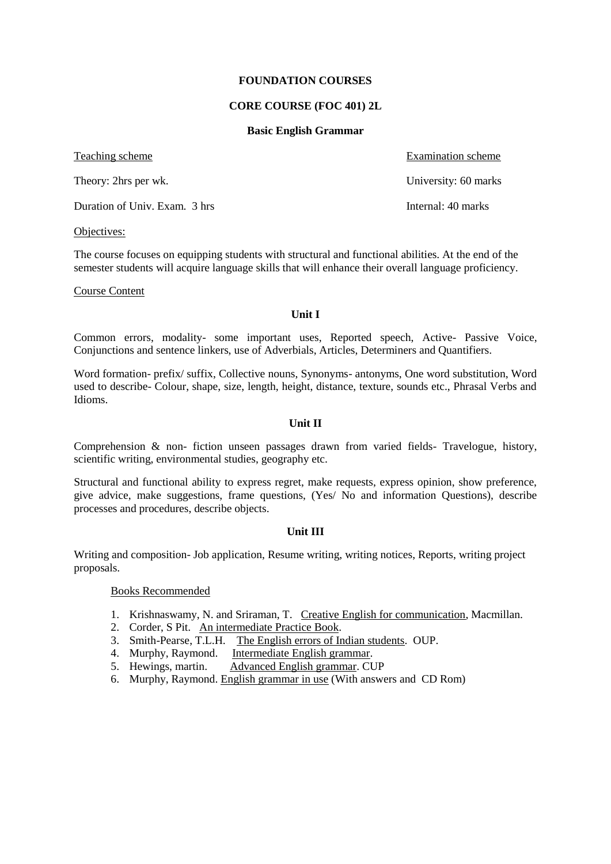#### **FOUNDATION COURSES**

### **CORE COURSE (FOC 401) 2L**

#### **Basic English Grammar**

Teaching scheme Examination scheme Examination scheme

Theory: 2hrs per wk. University: 60 marks

Duration of Univ. Exam. 3 hrs Internal: 40 marks

Objectives:

The course focuses on equipping students with structural and functional abilities. At the end of the semester students will acquire language skills that will enhance their overall language proficiency.

Course Content

#### **Unit I**

Common errors, modality- some important uses, Reported speech, Active- Passive Voice, Conjunctions and sentence linkers, use of Adverbials, Articles, Determiners and Quantifiers.

Word formation- prefix/ suffix, Collective nouns, Synonyms- antonyms, One word substitution, Word used to describe- Colour, shape, size, length, height, distance, texture, sounds etc., Phrasal Verbs and Idioms.

## **Unit II**

Comprehension & non- fiction unseen passages drawn from varied fields- Travelogue, history, scientific writing, environmental studies, geography etc.

Structural and functional ability to express regret, make requests, express opinion, show preference, give advice, make suggestions, frame questions, (Yes/ No and information Questions), describe processes and procedures, describe objects.

## **Unit III**

Writing and composition- Job application, Resume writing, writing notices, Reports, writing project proposals.

## Books Recommended

- 1. Krishnaswamy, N. and Sriraman, T. Creative English for communication, Macmillan.
- 2. Corder, S Pit. An intermediate Practice Book.
- 3. Smith-Pearse, T.L.H. The English errors of Indian students. OUP.
- 4. Murphy, Raymond. Intermediate English grammar.
- 5. Hewings, martin. Advanced English grammar. CUP
- 6. Murphy, Raymond. English grammar in use (With answers and CD Rom)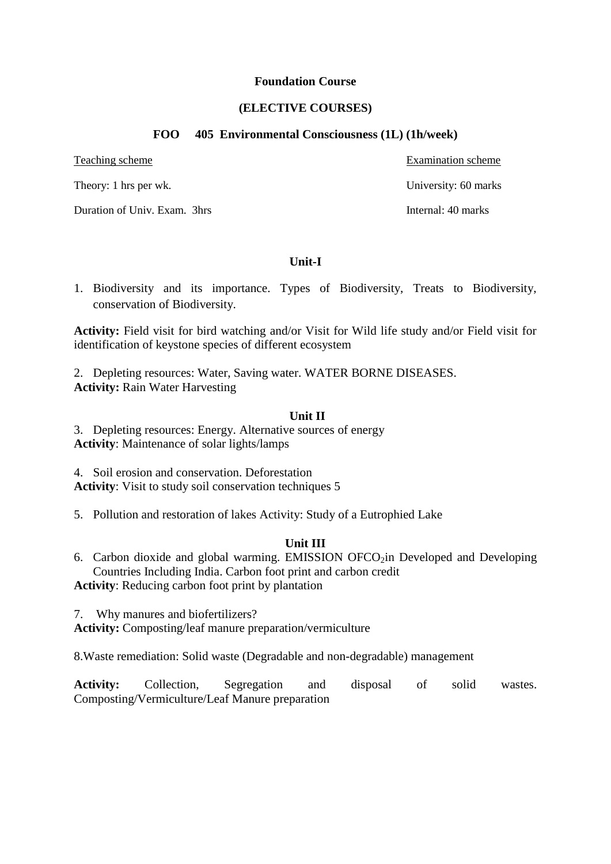## **Foundation Course**

# **(ELECTIVE COURSES)**

## **FOO 405 Environmental Consciousness (1L) (1h/week)**

Duration of Univ. Exam. 3hrs Internal: 40 marks

Teaching scheme Examination scheme Examination scheme Theory: 1 hrs per wk. University: 60 marks

**Unit-I**

1. Biodiversity and its importance. Types of Biodiversity, Treats to Biodiversity, conservation of Biodiversity.

**Activity:** Field visit for bird watching and/or Visit for Wild life study and/or Field visit for identification of keystone species of different ecosystem

2. Depleting resources: Water, Saving water. WATER BORNE DISEASES. **Activity:** Rain Water Harvesting

## **Unit II**

3. Depleting resources: Energy. Alternative sources of energy **Activity**: Maintenance of solar lights/lamps

4. Soil erosion and conservation. Deforestation **Activity**: Visit to study soil conservation techniques 5

5. Pollution and restoration of lakes Activity: Study of a Eutrophied Lake

# **Unit III**

6. Carbon dioxide and global warming. EMISSION OFCO<sub>2</sub>in Developed and Developing Countries Including India. Carbon foot print and carbon credit **Activity**: Reducing carbon foot print by plantation

7. Why manures and biofertilizers?

**Activity:** Composting/leaf manure preparation/vermiculture

8.Waste remediation: Solid waste (Degradable and non-degradable) management

**Activity:** Collection, Segregation and disposal of solid wastes. Composting/Vermiculture/Leaf Manure preparation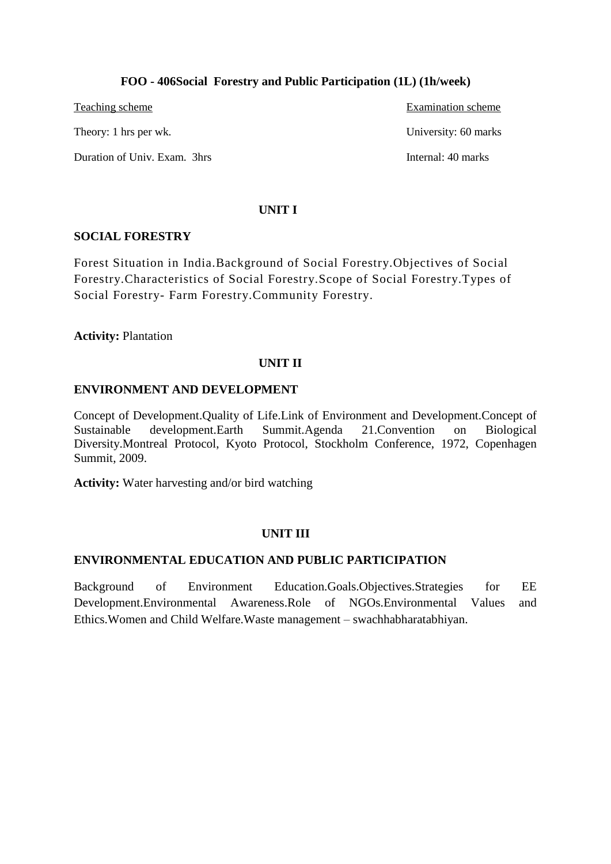# **FOO - 406Social Forestry and Public Participation (1L) (1h/week)**

Teaching scheme Examination scheme Examination scheme Theory: 1 hrs per wk. University: 60 marks Duration of Univ. Exam. 3hrs Internal: 40 marks

## **UNIT I**

## **SOCIAL FORESTRY**

Forest Situation in India.Background of Social Forestry.Objectives of Social Forestry.Characteristics of Social Forestry.Scope of Social Forestry.Types of Social Forestry- Farm Forestry.Community Forestry.

# **Activity:** Plantation

# **UNIT II**

## **ENVIRONMENT AND DEVELOPMENT**

Concept of Development.Quality of Life.Link of Environment and Development.Concept of Sustainable development.Earth Summit.Agenda 21.Convention on Biological Diversity.Montreal Protocol, Kyoto Protocol, Stockholm Conference, 1972, Copenhagen Summit, 2009.

**Activity:** Water harvesting and/or bird watching

# **UNIT III**

# **ENVIRONMENTAL EDUCATION AND PUBLIC PARTICIPATION**

Background of Environment Education.Goals.Objectives.Strategies for EE Development.Environmental Awareness.Role of NGOs.Environmental Values and Ethics.Women and Child Welfare.Waste management – swachhabharatabhiyan.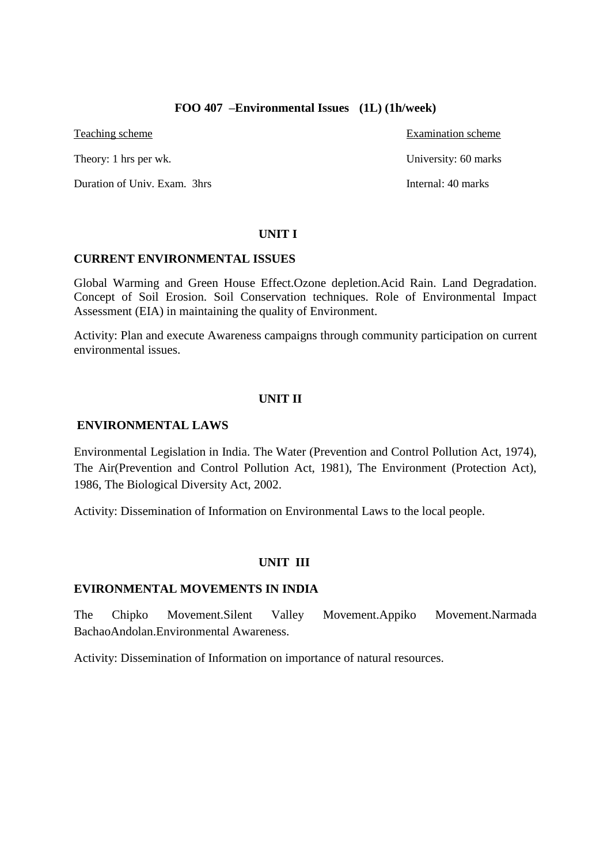# **FOO 407 –Environmental Issues (1L) (1h/week)**

Teaching scheme Examination scheme

Theory: 1 hrs per wk. University: 60 marks

Duration of Univ. Exam. 3hrs Internal: 40 marks

## **UNIT I**

## **CURRENT ENVIRONMENTAL ISSUES**

Global Warming and Green House Effect.Ozone depletion.Acid Rain. Land Degradation. Concept of Soil Erosion. Soil Conservation techniques. Role of Environmental Impact Assessment (EIA) in maintaining the quality of Environment.

Activity: Plan and execute Awareness campaigns through community participation on current environmental issues.

# **UNIT II**

## **ENVIRONMENTAL LAWS**

Environmental Legislation in India. The Water (Prevention and Control Pollution Act, 1974), The Air(Prevention and Control Pollution Act, 1981), The Environment (Protection Act), 1986, The Biological Diversity Act, 2002.

Activity: Dissemination of Information on Environmental Laws to the local people.

# **UNIT III**

## **EVIRONMENTAL MOVEMENTS IN INDIA**

The Chipko Movement.Silent Valley Movement.Appiko Movement.Narmada BachaoAndolan.Environmental Awareness.

Activity: Dissemination of Information on importance of natural resources.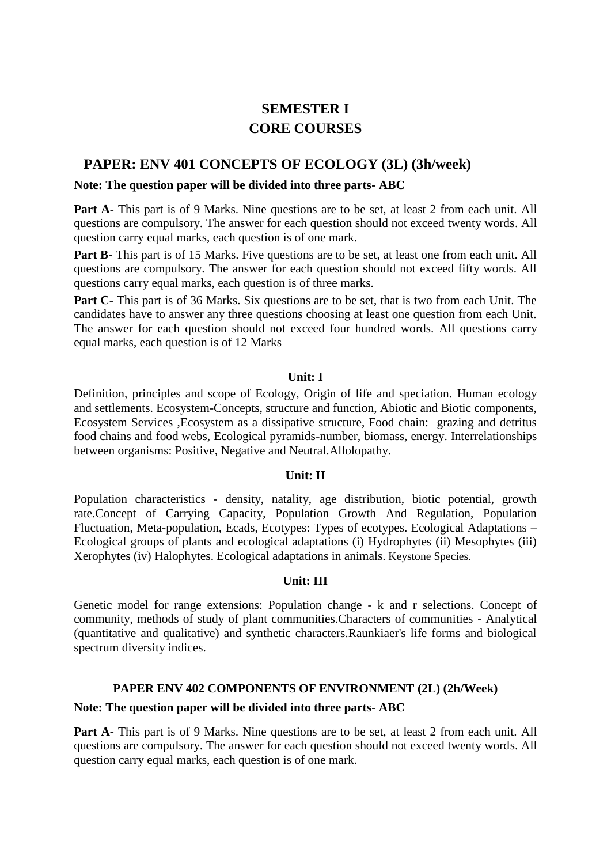# **SEMESTER I CORE COURSES**

# **PAPER: ENV 401 CONCEPTS OF ECOLOGY (3L) (3h/week)**

# **Note: The question paper will be divided into three parts- ABC**

**Part A-** This part is of 9 Marks. Nine questions are to be set, at least 2 from each unit. All questions are compulsory. The answer for each question should not exceed twenty words. All question carry equal marks, each question is of one mark.

**Part B-** This part is of 15 Marks. Five questions are to be set, at least one from each unit. All questions are compulsory. The answer for each question should not exceed fifty words. All questions carry equal marks, each question is of three marks.

Part C- This part is of 36 Marks. Six questions are to be set, that is two from each Unit. The candidates have to answer any three questions choosing at least one question from each Unit. The answer for each question should not exceed four hundred words. All questions carry equal marks, each question is of 12 Marks

# **Unit: I**

Definition, principles and scope of Ecology, Origin of life and speciation. Human ecology and settlements. Ecosystem-Concepts, structure and function, Abiotic and Biotic components, Ecosystem Services ,Ecosystem as a dissipative structure, Food chain: grazing and detritus food chains and food webs, Ecological pyramids-number, biomass, energy. Interrelationships between organisms: Positive, Negative and Neutral.Allolopathy.

# **Unit: II**

Population characteristics - density, natality, age distribution, biotic potential, growth rate.Concept of Carrying Capacity, Population Growth And Regulation, Population Fluctuation, Meta-population, Ecads, Ecotypes: Types of ecotypes. Ecological Adaptations – Ecological groups of plants and ecological adaptations (i) Hydrophytes (ii) Mesophytes (iii) Xerophytes (iv) Halophytes. Ecological adaptations in animals. Keystone Species.

# **Unit: III**

Genetic model for range extensions: Population change - k and r selections. Concept of community, methods of study of plant communities.Characters of communities - Analytical (quantitative and qualitative) and synthetic characters.Raunkiaer's life forms and biological spectrum diversity indices.

# **PAPER ENV 402 COMPONENTS OF ENVIRONMENT (2L) (2h/Week)**

# **Note: The question paper will be divided into three parts- ABC**

Part A- This part is of 9 Marks. Nine questions are to be set, at least 2 from each unit. All questions are compulsory. The answer for each question should not exceed twenty words. All question carry equal marks, each question is of one mark.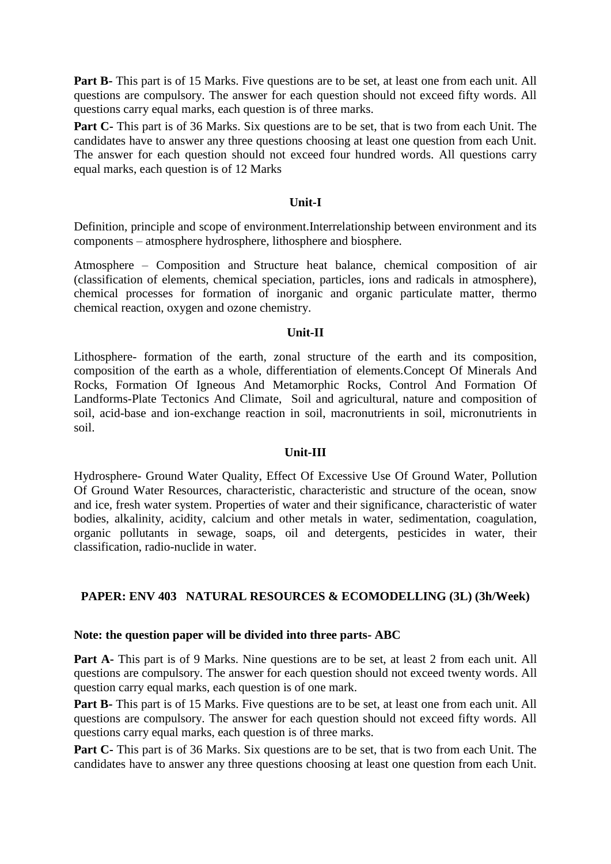**Part B-** This part is of 15 Marks. Five questions are to be set, at least one from each unit. All questions are compulsory. The answer for each question should not exceed fifty words. All questions carry equal marks, each question is of three marks.

**Part C-** This part is of 36 Marks. Six questions are to be set, that is two from each Unit. The candidates have to answer any three questions choosing at least one question from each Unit. The answer for each question should not exceed four hundred words. All questions carry equal marks, each question is of 12 Marks

## **Unit-I**

Definition, principle and scope of environment.Interrelationship between environment and its components – atmosphere hydrosphere, lithosphere and biosphere.

Atmosphere – Composition and Structure heat balance, chemical composition of air (classification of elements, chemical speciation, particles, ions and radicals in atmosphere), chemical processes for formation of inorganic and organic particulate matter, thermo chemical reaction, oxygen and ozone chemistry.

# **Unit-II**

Lithosphere- formation of the earth, zonal structure of the earth and its composition, composition of the earth as a whole, differentiation of elements.Concept Of Minerals And Rocks, Formation Of Igneous And Metamorphic Rocks, Control And Formation Of Landforms-Plate Tectonics And Climate, Soil and agricultural, nature and composition of soil, acid-base and ion-exchange reaction in soil, macronutrients in soil, micronutrients in soil.

# **Unit-III**

Hydrosphere- Ground Water Quality, Effect Of Excessive Use Of Ground Water, Pollution Of Ground Water Resources, characteristic, characteristic and structure of the ocean, snow and ice, fresh water system. Properties of water and their significance, characteristic of water bodies, alkalinity, acidity, calcium and other metals in water, sedimentation, coagulation, organic pollutants in sewage, soaps, oil and detergents, pesticides in water, their classification, radio-nuclide in water.

# **PAPER: ENV 403 NATURAL RESOURCES & ECOMODELLING (3L) (3h/Week)**

# **Note: the question paper will be divided into three parts- ABC**

**Part A-** This part is of 9 Marks. Nine questions are to be set, at least 2 from each unit. All questions are compulsory. The answer for each question should not exceed twenty words. All question carry equal marks, each question is of one mark.

Part B- This part is of 15 Marks. Five questions are to be set, at least one from each unit. All questions are compulsory. The answer for each question should not exceed fifty words. All questions carry equal marks, each question is of three marks.

**Part C-** This part is of 36 Marks. Six questions are to be set, that is two from each Unit. The candidates have to answer any three questions choosing at least one question from each Unit.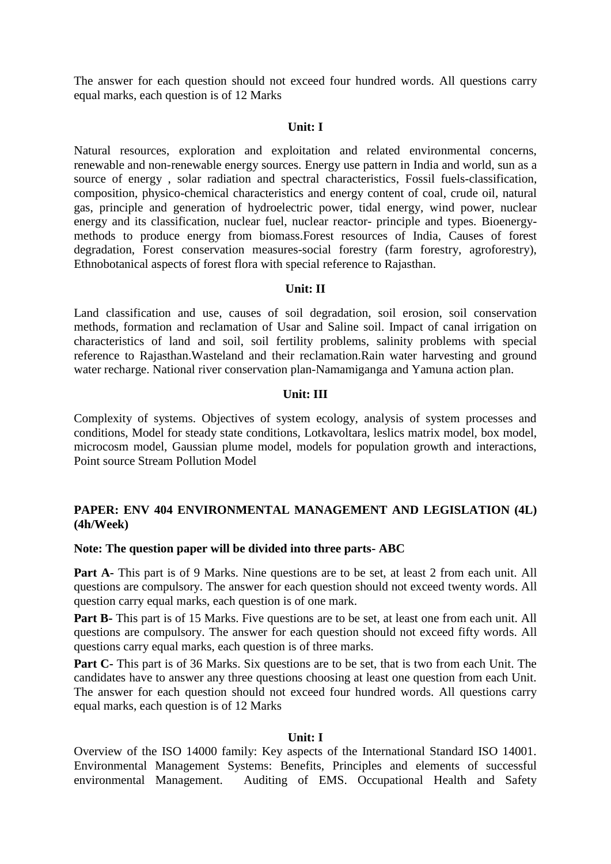The answer for each question should not exceed four hundred words. All questions carry equal marks, each question is of 12 Marks

#### **Unit: I**

Natural resources, exploration and exploitation and related environmental concerns, renewable and non-renewable energy sources. Energy use pattern in India and world, sun as a source of energy , solar radiation and spectral characteristics, Fossil fuels-classification, composition, physico-chemical characteristics and energy content of coal, crude oil, natural gas, principle and generation of hydroelectric power, tidal energy, wind power, nuclear energy and its classification, nuclear fuel, nuclear reactor- principle and types. Bioenergymethods to produce energy from biomass.Forest resources of India, Causes of forest degradation, Forest conservation measures-social forestry (farm forestry, agroforestry), Ethnobotanical aspects of forest flora with special reference to Rajasthan.

# **Unit: II**

Land classification and use, causes of soil degradation, soil erosion, soil conservation methods, formation and reclamation of Usar and Saline soil. Impact of canal irrigation on characteristics of land and soil, soil fertility problems, salinity problems with special reference to Rajasthan.Wasteland and their reclamation.Rain water harvesting and ground water recharge. National river conservation plan-Namamiganga and Yamuna action plan.

#### **Unit: III**

Complexity of systems. Objectives of system ecology, analysis of system processes and conditions, Model for steady state conditions, Lotkavoltara, leslics matrix model, box model, microcosm model, Gaussian plume model, models for population growth and interactions, Point source Stream Pollution Model

# **PAPER: ENV 404 ENVIRONMENTAL MANAGEMENT AND LEGISLATION (4L) (4h/Week)**

# **Note: The question paper will be divided into three parts- ABC**

**Part A-** This part is of 9 Marks. Nine questions are to be set, at least 2 from each unit. All questions are compulsory. The answer for each question should not exceed twenty words. All question carry equal marks, each question is of one mark.

**Part B-** This part is of 15 Marks. Five questions are to be set, at least one from each unit. All questions are compulsory. The answer for each question should not exceed fifty words. All questions carry equal marks, each question is of three marks.

**Part C-** This part is of 36 Marks. Six questions are to be set, that is two from each Unit. The candidates have to answer any three questions choosing at least one question from each Unit. The answer for each question should not exceed four hundred words. All questions carry equal marks, each question is of 12 Marks

#### **Unit: I**

Overview of the ISO 14000 family: Key aspects of the International Standard ISO 14001. Environmental Management Systems: Benefits, Principles and elements of successful environmental Management. Auditing of EMS. Occupational Health and Safety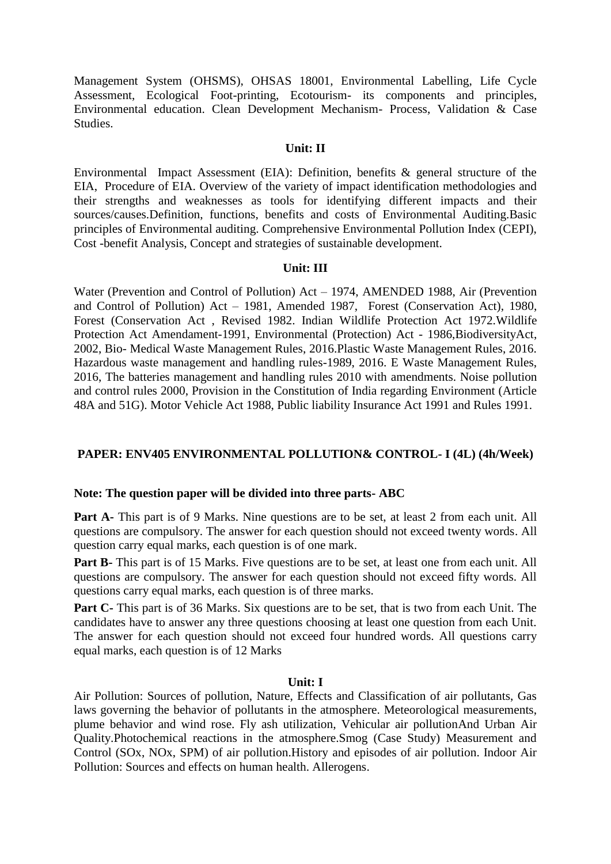Management System (OHSMS), OHSAS 18001, Environmental Labelling, Life Cycle Assessment, Ecological Foot-printing, Ecotourism- its components and principles, Environmental education. Clean Development Mechanism- Process, Validation & Case Studies.

## **Unit: II**

Environmental Impact Assessment (EIA): Definition, benefits & general structure of the EIA, Procedure of EIA. Overview of the variety of impact identification methodologies and their strengths and weaknesses as tools for identifying different impacts and their sources/causes.Definition, functions, benefits and costs of Environmental Auditing.Basic principles of Environmental auditing. Comprehensive Environmental Pollution Index (CEPI), Cost -benefit Analysis, Concept and strategies of sustainable development.

## **Unit: III**

Water (Prevention and Control of Pollution) Act – 1974, AMENDED 1988, Air (Prevention and Control of Pollution) Act – 1981, Amended 1987, Forest (Conservation Act), 1980, Forest (Conservation Act , Revised 1982. Indian Wildlife Protection Act 1972.Wildlife Protection Act Amendament-1991, Environmental (Protection) Act - 1986,BiodiversityAct, 2002, Bio- Medical Waste Management Rules, 2016.Plastic Waste Management Rules, 2016. Hazardous waste management and handling rules-1989, 2016. E Waste Management Rules, 2016, The batteries management and handling rules 2010 with amendments. Noise pollution and control rules 2000, Provision in the Constitution of India regarding Environment (Article 48A and 51G). Motor Vehicle Act 1988, Public liability Insurance Act 1991 and Rules 1991.

# **PAPER: ENV405 ENVIRONMENTAL POLLUTION& CONTROL- I (4L) (4h/Week)**

# **Note: The question paper will be divided into three parts- ABC**

Part A- This part is of 9 Marks. Nine questions are to be set, at least 2 from each unit. All questions are compulsory. The answer for each question should not exceed twenty words. All question carry equal marks, each question is of one mark.

Part B- This part is of 15 Marks. Five questions are to be set, at least one from each unit. All questions are compulsory. The answer for each question should not exceed fifty words. All questions carry equal marks, each question is of three marks.

Part C- This part is of 36 Marks. Six questions are to be set, that is two from each Unit. The candidates have to answer any three questions choosing at least one question from each Unit. The answer for each question should not exceed four hundred words. All questions carry equal marks, each question is of 12 Marks

## **Unit: I**

Air Pollution: Sources of pollution, Nature, Effects and Classification of air pollutants, Gas laws governing the behavior of pollutants in the atmosphere. Meteorological measurements, plume behavior and wind rose. Fly ash utilization, Vehicular air pollutionAnd Urban Air Quality.Photochemical reactions in the atmosphere.Smog (Case Study) Measurement and Control (SOx, NOx, SPM) of air pollution.History and episodes of air pollution. Indoor Air Pollution: Sources and effects on human health. Allerogens.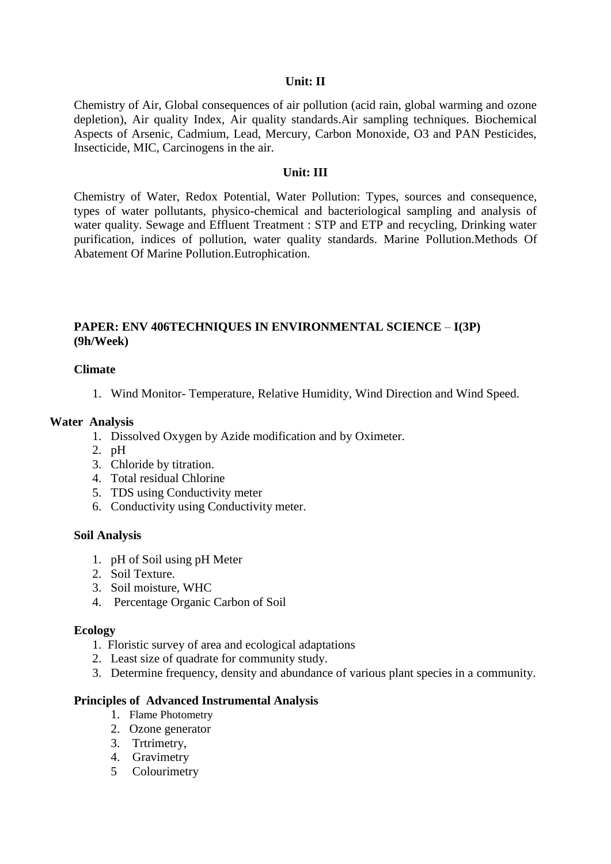## **Unit: II**

Chemistry of Air, Global consequences of air pollution (acid rain, global warming and ozone depletion), Air quality Index, Air quality standards.Air sampling techniques. Biochemical Aspects of Arsenic, Cadmium, Lead, Mercury, Carbon Monoxide, O3 and PAN Pesticides, Insecticide, MIC, Carcinogens in the air.

## **Unit: III**

Chemistry of Water, Redox Potential, Water Pollution: Types, sources and consequence, types of water pollutants, physico-chemical and bacteriological sampling and analysis of water quality. Sewage and Effluent Treatment : STP and ETP and recycling, Drinking water purification, indices of pollution, water quality standards. Marine Pollution.Methods Of Abatement Of Marine Pollution.Eutrophication.

# **PAPER: ENV 406TECHNIQUES IN ENVIRONMENTAL SCIENCE** – **I(3P) (9h/Week)**

## **Climate**

1. Wind Monitor- Temperature, Relative Humidity, Wind Direction and Wind Speed.

## **Water Analysis**

- 1. Dissolved Oxygen by Azide modification and by Oximeter.
- 2. pH
- 3. Chloride by titration.
- 4. Total residual Chlorine
- 5. TDS using Conductivity meter
- 6. Conductivity using Conductivity meter.

## **Soil Analysis**

- 1. pH of Soil using pH Meter
- 2. Soil Texture.
- 3. Soil moisture, WHC
- 4. Percentage Organic Carbon of Soil

## **Ecology**

- 1. Floristic survey of area and ecological adaptations
- 2. Least size of quadrate for community study.
- 3. Determine frequency, density and abundance of various plant species in a community.

## **Principles of Advanced Instrumental Analysis**

- 1. Flame Photometry
- 2. Ozone generator
- 3. Trtrimetry,
- 4. Gravimetry
- 5 Colourimetry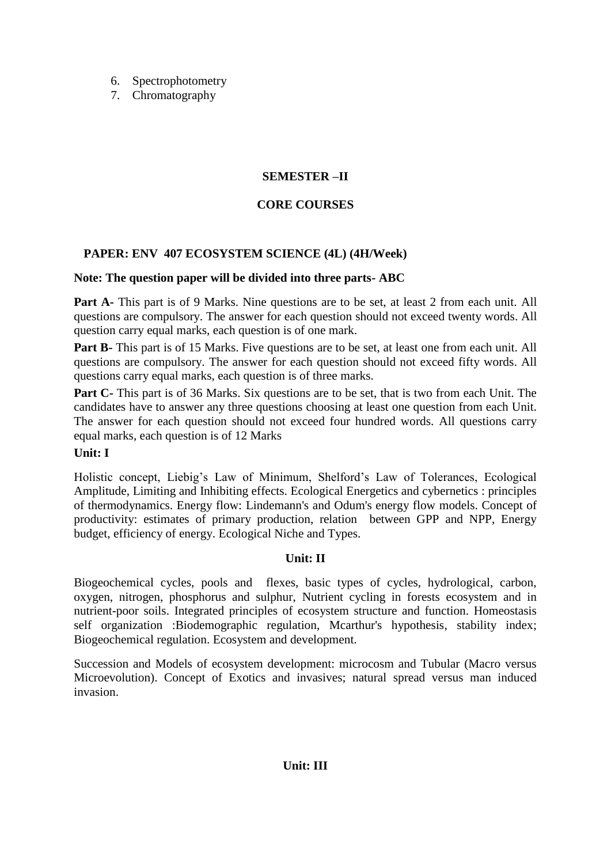- 6. Spectrophotometry
- 7. Chromatography

# **SEMESTER –II**

# **CORE COURSES**

# **PAPER: ENV 407 ECOSYSTEM SCIENCE (4L) (4H/Week)**

# **Note: The question paper will be divided into three parts- ABC**

Part A- This part is of 9 Marks. Nine questions are to be set, at least 2 from each unit. All questions are compulsory. The answer for each question should not exceed twenty words. All question carry equal marks, each question is of one mark.

**Part B-** This part is of 15 Marks. Five questions are to be set, at least one from each unit. All questions are compulsory. The answer for each question should not exceed fifty words. All questions carry equal marks, each question is of three marks.

**Part C-** This part is of 36 Marks. Six questions are to be set, that is two from each Unit. The candidates have to answer any three questions choosing at least one question from each Unit. The answer for each question should not exceed four hundred words. All questions carry equal marks, each question is of 12 Marks

# **Unit: I**

Holistic concept, Liebig's Law of Minimum, Shelford's Law of Tolerances, Ecological Amplitude, Limiting and Inhibiting effects. Ecological Energetics and cybernetics : principles of thermodynamics. Energy flow: Lindemann's and Odum's energy flow models. Concept of productivity: estimates of primary production, relation between GPP and NPP, Energy budget, efficiency of energy. Ecological Niche and Types.

# **Unit: II**

Biogeochemical cycles, pools and flexes, basic types of cycles, hydrological, carbon, oxygen, nitrogen, phosphorus and sulphur, Nutrient cycling in forests ecosystem and in nutrient-poor soils. Integrated principles of ecosystem structure and function. Homeostasis self organization :Biodemographic regulation, Mcarthur's hypothesis, stability index; Biogeochemical regulation. Ecosystem and development.

Succession and Models of ecosystem development: microcosm and Tubular (Macro versus Microevolution). Concept of Exotics and invasives; natural spread versus man induced invasion.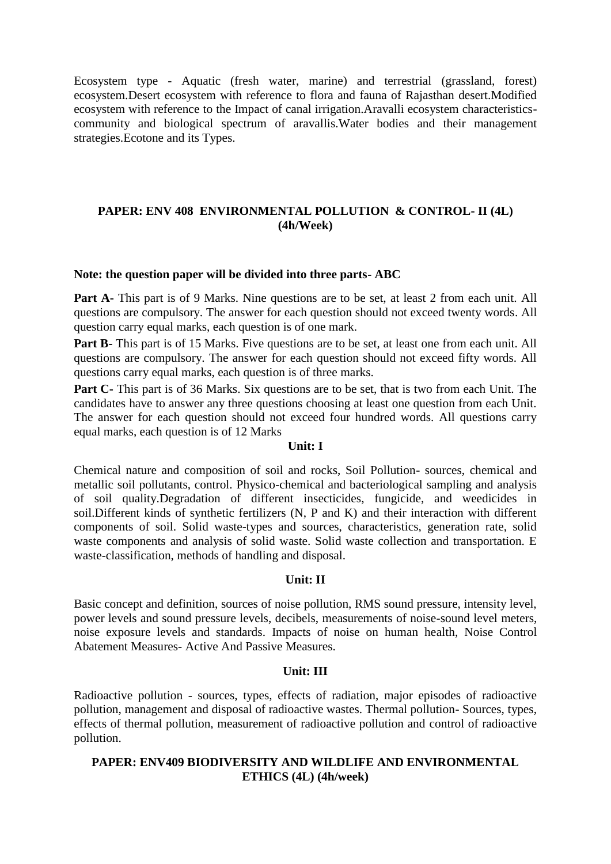Ecosystem type - Aquatic (fresh water, marine) and terrestrial (grassland, forest) ecosystem.Desert ecosystem with reference to flora and fauna of Rajasthan desert.Modified ecosystem with reference to the Impact of canal irrigation.Aravalli ecosystem characteristicscommunity and biological spectrum of aravallis.Water bodies and their management strategies.Ecotone and its Types.

# **PAPER: ENV 408 ENVIRONMENTAL POLLUTION & CONTROL- II (4L) (4h/Week)**

## **Note: the question paper will be divided into three parts- ABC**

Part A- This part is of 9 Marks. Nine questions are to be set, at least 2 from each unit. All questions are compulsory. The answer for each question should not exceed twenty words. All question carry equal marks, each question is of one mark.

**Part B-** This part is of 15 Marks. Five questions are to be set, at least one from each unit. All questions are compulsory. The answer for each question should not exceed fifty words. All questions carry equal marks, each question is of three marks.

**Part C-** This part is of 36 Marks. Six questions are to be set, that is two from each Unit. The candidates have to answer any three questions choosing at least one question from each Unit. The answer for each question should not exceed four hundred words. All questions carry equal marks, each question is of 12 Marks

## **Unit: I**

Chemical nature and composition of soil and rocks, Soil Pollution- sources, chemical and metallic soil pollutants, control. Physico-chemical and bacteriological sampling and analysis of soil quality.Degradation of different insecticides, fungicide, and weedicides in soil.Different kinds of synthetic fertilizers (N, P and K) and their interaction with different components of soil. Solid waste-types and sources, characteristics, generation rate, solid waste components and analysis of solid waste. Solid waste collection and transportation. E waste-classification, methods of handling and disposal.

# **Unit: II**

Basic concept and definition, sources of noise pollution, RMS sound pressure, intensity level, power levels and sound pressure levels, decibels, measurements of noise-sound level meters, noise exposure levels and standards. Impacts of noise on human health, Noise Control Abatement Measures- Active And Passive Measures.

# **Unit: III**

Radioactive pollution - sources, types, effects of radiation, major episodes of radioactive pollution, management and disposal of radioactive wastes. Thermal pollution- Sources, types, effects of thermal pollution, measurement of radioactive pollution and control of radioactive pollution.

# **PAPER: ENV409 BIODIVERSITY AND WILDLIFE AND ENVIRONMENTAL ETHICS (4L) (4h/week)**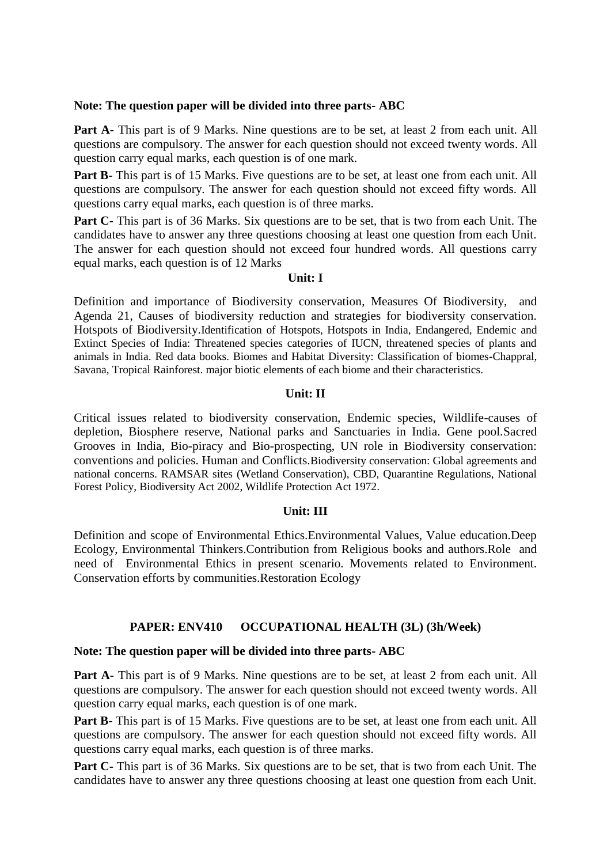## **Note: The question paper will be divided into three parts- ABC**

**Part A-** This part is of 9 Marks. Nine questions are to be set, at least 2 from each unit. All questions are compulsory. The answer for each question should not exceed twenty words. All question carry equal marks, each question is of one mark.

**Part B-** This part is of 15 Marks. Five questions are to be set, at least one from each unit. All questions are compulsory. The answer for each question should not exceed fifty words. All questions carry equal marks, each question is of three marks.

**Part C-** This part is of 36 Marks. Six questions are to be set, that is two from each Unit. The candidates have to answer any three questions choosing at least one question from each Unit. The answer for each question should not exceed four hundred words. All questions carry equal marks, each question is of 12 Marks

## **Unit: I**

Definition and importance of Biodiversity conservation, Measures Of Biodiversity, and Agenda 21, Causes of biodiversity reduction and strategies for biodiversity conservation. Hotspots of Biodiversity.Identification of Hotspots, Hotspots in India, Endangered, Endemic and Extinct Species of India: Threatened species categories of IUCN, threatened species of plants and animals in India. Red data books. Biomes and Habitat Diversity: Classification of biomes-Chappral, Savana, Tropical Rainforest. major biotic elements of each biome and their characteristics.

## **Unit: II**

Critical issues related to biodiversity conservation, Endemic species, Wildlife-causes of depletion, Biosphere reserve, National parks and Sanctuaries in India. Gene pool.Sacred Grooves in India, Bio-piracy and Bio-prospecting, UN role in Biodiversity conservation: conventions and policies. Human and Conflicts.Biodiversity conservation: Global agreements and national concerns. RAMSAR sites (Wetland Conservation), CBD, Quarantine Regulations, National Forest Policy, Biodiversity Act 2002, Wildlife Protection Act 1972.

# **Unit: III**

Definition and scope of Environmental Ethics.Environmental Values, Value education.Deep Ecology, Environmental Thinkers.Contribution from Religious books and authors.Role and need of Environmental Ethics in present scenario. Movements related to Environment. Conservation efforts by communities.Restoration Ecology

# **PAPER: ENV410 OCCUPATIONAL HEALTH (3L) (3h/Week)**

## **Note: The question paper will be divided into three parts- ABC**

Part A- This part is of 9 Marks. Nine questions are to be set, at least 2 from each unit. All questions are compulsory. The answer for each question should not exceed twenty words. All question carry equal marks, each question is of one mark.

**Part B-** This part is of 15 Marks. Five questions are to be set, at least one from each unit. All questions are compulsory. The answer for each question should not exceed fifty words. All questions carry equal marks, each question is of three marks.

**Part C-** This part is of 36 Marks. Six questions are to be set, that is two from each Unit. The candidates have to answer any three questions choosing at least one question from each Unit.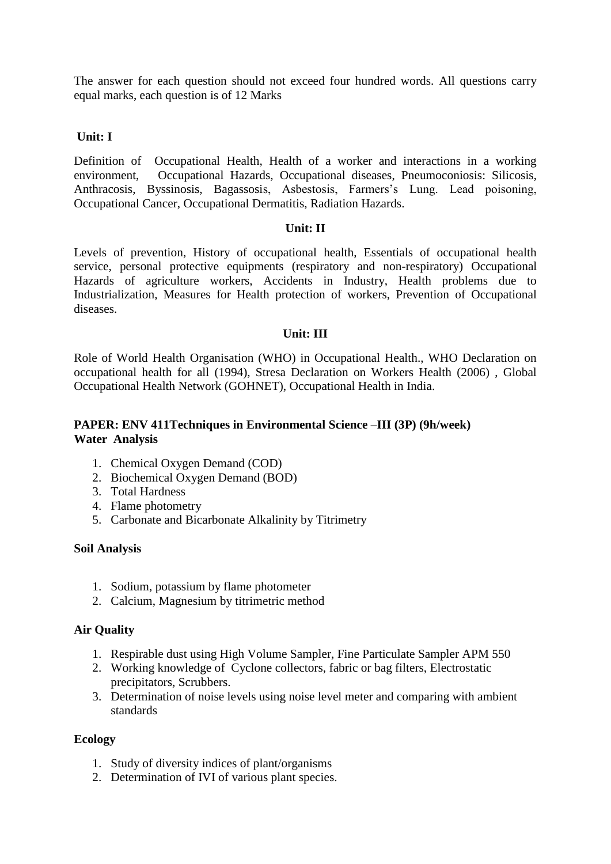The answer for each question should not exceed four hundred words. All questions carry equal marks, each question is of 12 Marks

# **Unit: I**

Definition of Occupational Health, Health of a worker and interactions in a working environment, Occupational Hazards, Occupational diseases, Pneumoconiosis: Silicosis, Anthracosis, Byssinosis, Bagassosis, Asbestosis, Farmers's Lung. Lead poisoning, Occupational Cancer, Occupational Dermatitis, Radiation Hazards.

# **Unit: II**

Levels of prevention, History of occupational health, Essentials of occupational health service, personal protective equipments (respiratory and non-respiratory) Occupational Hazards of agriculture workers, Accidents in Industry, Health problems due to Industrialization, Measures for Health protection of workers, Prevention of Occupational diseases.

# **Unit: III**

Role of World Health Organisation (WHO) in Occupational Health., WHO Declaration on occupational health for all (1994), Stresa Declaration on Workers Health (2006) , Global Occupational Health Network (GOHNET), Occupational Health in India.

# **PAPER: ENV 411Techniques in Environmental Science** –**III (3P) (9h/week) Water Analysis**

- 1. Chemical Oxygen Demand (COD)
- 2. Biochemical Oxygen Demand (BOD)
- 3. Total Hardness
- 4. Flame photometry
- 5. Carbonate and Bicarbonate Alkalinity by Titrimetry

# **Soil Analysis**

- 1. Sodium, potassium by flame photometer
- 2. Calcium, Magnesium by titrimetric method

# **Air Quality**

- 1. Respirable dust using High Volume Sampler, Fine Particulate Sampler APM 550
- 2. Working knowledge of Cyclone collectors, fabric or bag filters, Electrostatic precipitators, Scrubbers.
- 3. Determination of noise levels using noise level meter and comparing with ambient standards

# **Ecology**

- 1. Study of diversity indices of plant/organisms
- 2. Determination of IVI of various plant species.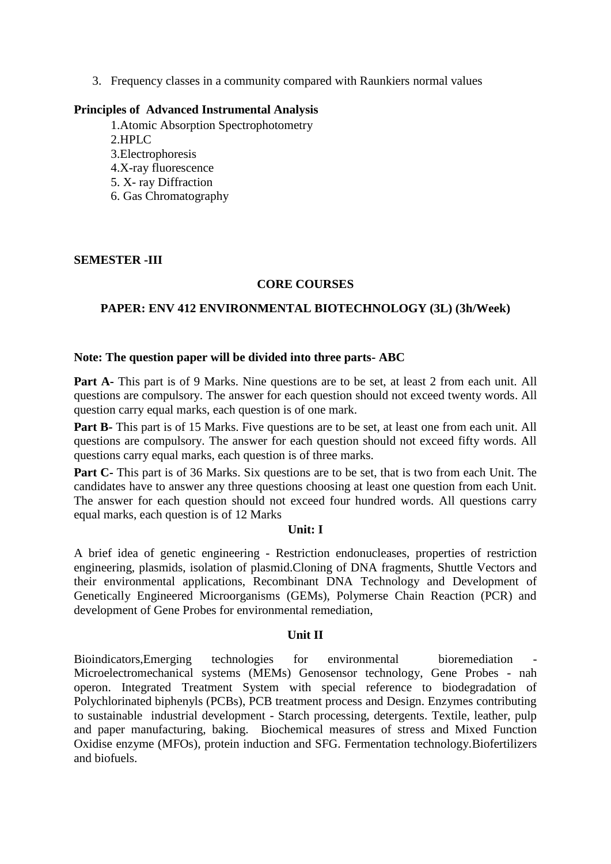3. Frequency classes in a community compared with Raunkiers normal values

## **Principles of Advanced Instrumental Analysis**

1.Atomic Absorption Spectrophotometry 2.HPLC 3.Electrophoresis 4.X-ray fluorescence 5. X- ray Diffraction 6. Gas Chromatography

# **SEMESTER -III**

# **CORE COURSES**

# **PAPER: ENV 412 ENVIRONMENTAL BIOTECHNOLOGY (3L) (3h/Week)**

## **Note: The question paper will be divided into three parts- ABC**

**Part A-** This part is of 9 Marks. Nine questions are to be set, at least 2 from each unit. All questions are compulsory. The answer for each question should not exceed twenty words. All question carry equal marks, each question is of one mark.

**Part B-** This part is of 15 Marks. Five questions are to be set, at least one from each unit. All questions are compulsory. The answer for each question should not exceed fifty words. All questions carry equal marks, each question is of three marks.

Part C- This part is of 36 Marks. Six questions are to be set, that is two from each Unit. The candidates have to answer any three questions choosing at least one question from each Unit. The answer for each question should not exceed four hundred words. All questions carry equal marks, each question is of 12 Marks

# **Unit: I**

A brief idea of genetic engineering - Restriction endonucleases, properties of restriction engineering, plasmids, isolation of plasmid.Cloning of DNA fragments, Shuttle Vectors and their environmental applications, Recombinant DNA Technology and Development of Genetically Engineered Microorganisms (GEMs), Polymerse Chain Reaction (PCR) and development of Gene Probes for environmental remediation,

# **Unit II**

Bioindicators, Emerging technologies for environmental bioremediation Microelectromechanical systems (MEMs) Genosensor technology, Gene Probes - nah operon. Integrated Treatment System with special reference to biodegradation of Polychlorinated biphenyls (PCBs), PCB treatment process and Design. Enzymes contributing to sustainable industrial development - Starch processing, detergents. Textile, leather, pulp and paper manufacturing, baking. Biochemical measures of stress and Mixed Function Oxidise enzyme (MFOs), protein induction and SFG. Fermentation technology.Biofertilizers and biofuels.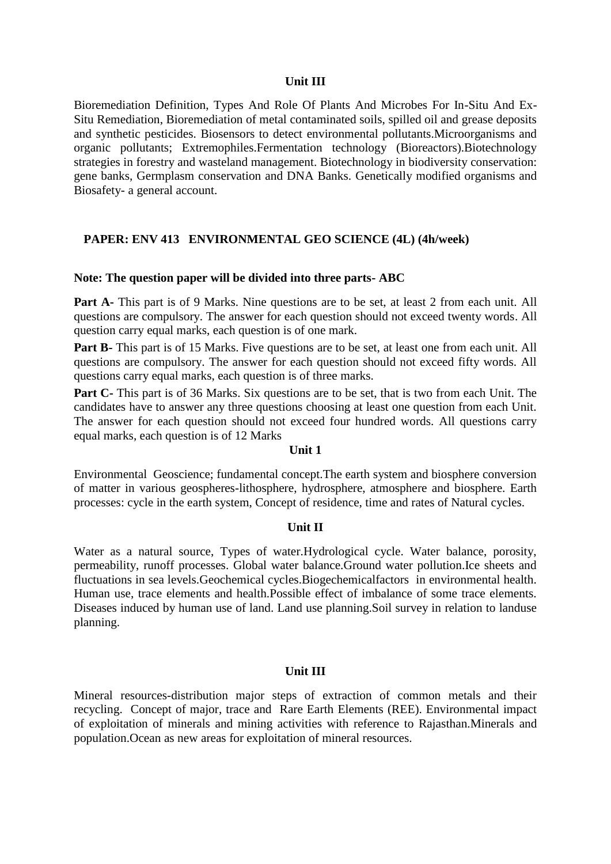#### **Unit III**

Bioremediation Definition, Types And Role Of Plants And Microbes For In-Situ And Ex-Situ Remediation, Bioremediation of metal contaminated soils, spilled oil and grease deposits and synthetic pesticides. Biosensors to detect environmental pollutants.Microorganisms and organic pollutants; Extremophiles.Fermentation technology (Bioreactors).Biotechnology strategies in forestry and wasteland management. Biotechnology in biodiversity conservation: gene banks, Germplasm conservation and DNA Banks. Genetically modified organisms and Biosafety- a general account.

## **PAPER: ENV 413 ENVIRONMENTAL GEO SCIENCE (4L) (4h/week)**

#### **Note: The question paper will be divided into three parts- ABC**

Part A- This part is of 9 Marks. Nine questions are to be set, at least 2 from each unit. All questions are compulsory. The answer for each question should not exceed twenty words. All question carry equal marks, each question is of one mark.

**Part B-** This part is of 15 Marks. Five questions are to be set, at least one from each unit. All questions are compulsory. The answer for each question should not exceed fifty words. All questions carry equal marks, each question is of three marks.

**Part C-** This part is of 36 Marks. Six questions are to be set, that is two from each Unit. The candidates have to answer any three questions choosing at least one question from each Unit. The answer for each question should not exceed four hundred words. All questions carry equal marks, each question is of 12 Marks

### **Unit 1**

Environmental Geoscience; fundamental concept.The earth system and biosphere conversion of matter in various geospheres-lithosphere, hydrosphere, atmosphere and biosphere. Earth processes: cycle in the earth system, Concept of residence, time and rates of Natural cycles.

#### **Unit II**

Water as a natural source, Types of water.Hydrological cycle. Water balance, porosity, permeability, runoff processes. Global water balance.Ground water pollution.Ice sheets and fluctuations in sea levels.Geochemical cycles.Biogechemicalfactors in environmental health. Human use, trace elements and health.Possible effect of imbalance of some trace elements. Diseases induced by human use of land. Land use planning.Soil survey in relation to landuse planning.

#### **Unit III**

Mineral resources-distribution major steps of extraction of common metals and their recycling. Concept of major, trace and Rare Earth Elements (REE). Environmental impact of exploitation of minerals and mining activities with reference to Rajasthan.Minerals and population.Ocean as new areas for exploitation of mineral resources.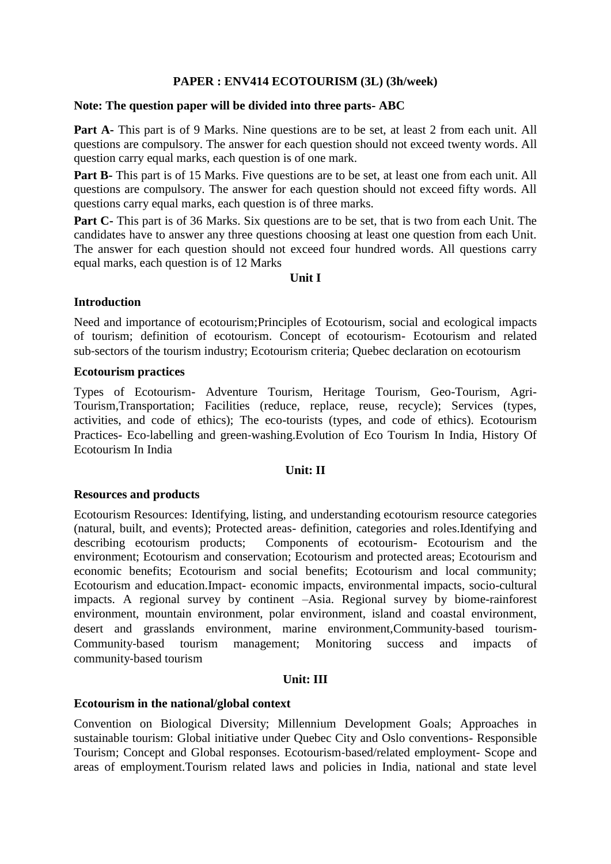# **PAPER : ENV414 ECOTOURISM (3L) (3h/week)**

## **Note: The question paper will be divided into three parts- ABC**

**Part A-** This part is of 9 Marks. Nine questions are to be set, at least 2 from each unit. All questions are compulsory. The answer for each question should not exceed twenty words. All question carry equal marks, each question is of one mark.

**Part B-** This part is of 15 Marks. Five questions are to be set, at least one from each unit. All questions are compulsory. The answer for each question should not exceed fifty words. All questions carry equal marks, each question is of three marks.

**Part C-** This part is of 36 Marks. Six questions are to be set, that is two from each Unit. The candidates have to answer any three questions choosing at least one question from each Unit. The answer for each question should not exceed four hundred words. All questions carry equal marks, each question is of 12 Marks

## **Unit I**

## **Introduction**

Need and importance of ecotourism;Principles of Ecotourism, social and ecological impacts of tourism; definition of ecotourism. Concept of ecotourism- Ecotourism and related sub‐sectors of the tourism industry; Ecotourism criteria; Quebec declaration on ecotourism

## **Ecotourism practices**

Types of Ecotourism- Adventure Tourism, Heritage Tourism, Geo-Tourism, Agri-Tourism,Transportation; Facilities (reduce, replace, reuse, recycle); Services (types, activities, and code of ethics); The eco-tourists (types, and code of ethics). Ecotourism Practices- Eco-labelling and green-washing. Evolution of Eco Tourism In India, History Of Ecotourism In India

# **Unit: II**

# **Resources and products**

Ecotourism Resources: Identifying, listing, and understanding ecotourism resource categories (natural, built, and events); Protected areas- definition, categories and roles.Identifying and describing ecotourism products; Components of ecotourism- Ecotourism and the environment; Ecotourism and conservation; Ecotourism and protected areas; Ecotourism and economic benefits; Ecotourism and social benefits; Ecotourism and local community; Ecotourism and education.Impact- economic impacts, environmental impacts, socio-cultural impacts. A regional survey by continent –Asia. Regional survey by biome-rainforest environment, mountain environment, polar environment, island and coastal environment, desert and grasslands environment, marine environment, Community-based tourism-Community‐based tourism management; Monitoring success and impacts of community‐based tourism

# **Unit: III**

# **Ecotourism in the national/global context**

Convention on Biological Diversity; Millennium Development Goals; Approaches in sustainable tourism: Global initiative under Quebec City and Oslo conventions- Responsible Tourism; Concept and Global responses. Ecotourism‐based/related employment- Scope and areas of employment.Tourism related laws and policies in India, national and state level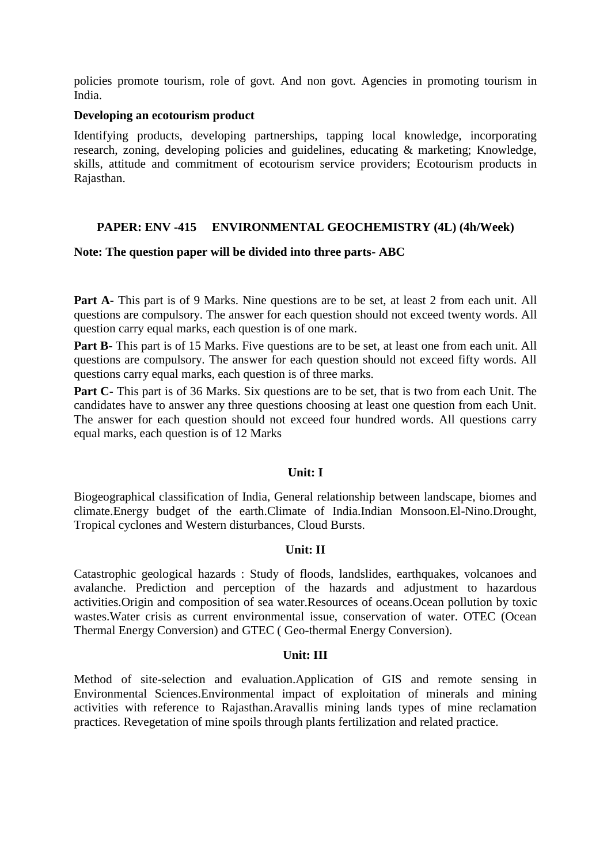policies promote tourism, role of govt. And non govt. Agencies in promoting tourism in India.

## **Developing an ecotourism product**

Identifying products, developing partnerships, tapping local knowledge, incorporating research, zoning, developing policies and guidelines, educating & marketing; Knowledge, skills, attitude and commitment of ecotourism service providers; Ecotourism products in Rajasthan.

# **PAPER: ENV -415 ENVIRONMENTAL GEOCHEMISTRY (4L) (4h/Week)**

## **Note: The question paper will be divided into three parts- ABC**

Part A- This part is of 9 Marks. Nine questions are to be set, at least 2 from each unit. All questions are compulsory. The answer for each question should not exceed twenty words. All question carry equal marks, each question is of one mark.

**Part B-** This part is of 15 Marks. Five questions are to be set, at least one from each unit. All questions are compulsory. The answer for each question should not exceed fifty words. All questions carry equal marks, each question is of three marks.

**Part C-** This part is of 36 Marks. Six questions are to be set, that is two from each Unit. The candidates have to answer any three questions choosing at least one question from each Unit. The answer for each question should not exceed four hundred words. All questions carry equal marks, each question is of 12 Marks

## **Unit: I**

Biogeographical classification of India, General relationship between landscape, biomes and climate.Energy budget of the earth.Climate of India.Indian Monsoon.El-Nino.Drought, Tropical cyclones and Western disturbances, Cloud Bursts.

# **Unit: II**

Catastrophic geological hazards : Study of floods, landslides, earthquakes, volcanoes and avalanche. Prediction and perception of the hazards and adjustment to hazardous activities.Origin and composition of sea water.Resources of oceans.Ocean pollution by toxic wastes.Water crisis as current environmental issue, conservation of water. OTEC (Ocean Thermal Energy Conversion) and GTEC ( Geo-thermal Energy Conversion).

## **Unit: III**

Method of site-selection and evaluation.Application of GIS and remote sensing in Environmental Sciences.Environmental impact of exploitation of minerals and mining activities with reference to Rajasthan.Aravallis mining lands types of mine reclamation practices. Revegetation of mine spoils through plants fertilization and related practice.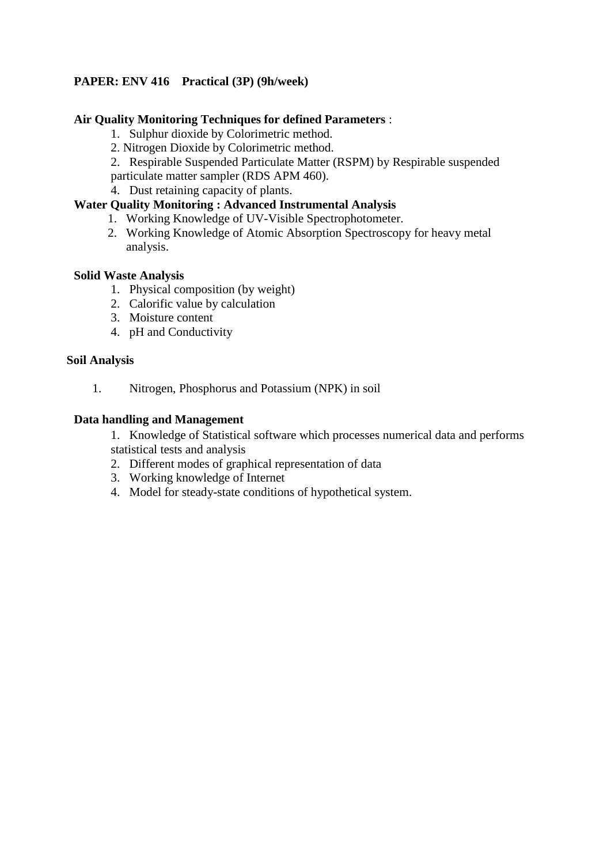# **PAPER: ENV 416 Practical (3P) (9h/week)**

# **Air Quality Monitoring Techniques for defined Parameters** :

- 1. Sulphur dioxide by Colorimetric method.
- 2. Nitrogen Dioxide by Colorimetric method.
- 2. Respirable Suspended Particulate Matter (RSPM) by Respirable suspended
- particulate matter sampler (RDS APM 460).
- 4. Dust retaining capacity of plants.

# **Water Quality Monitoring : Advanced Instrumental Analysis**

- 1. Working Knowledge of UV-Visible Spectrophotometer.
- 2. Working Knowledge of Atomic Absorption Spectroscopy for heavy metal analysis.

# **Solid Waste Analysis**

- 1. Physical composition (by weight)
- 2. Calorific value by calculation
- 3. Moisture content
- 4. pH and Conductivity

# **Soil Analysis**

1. Nitrogen, Phosphorus and Potassium (NPK) in soil

# **Data handling and Management**

1. Knowledge of Statistical software which processes numerical data and performs statistical tests and analysis

- 2. Different modes of graphical representation of data
- 3. Working knowledge of Internet
- 4. Model for steady-state conditions of hypothetical system.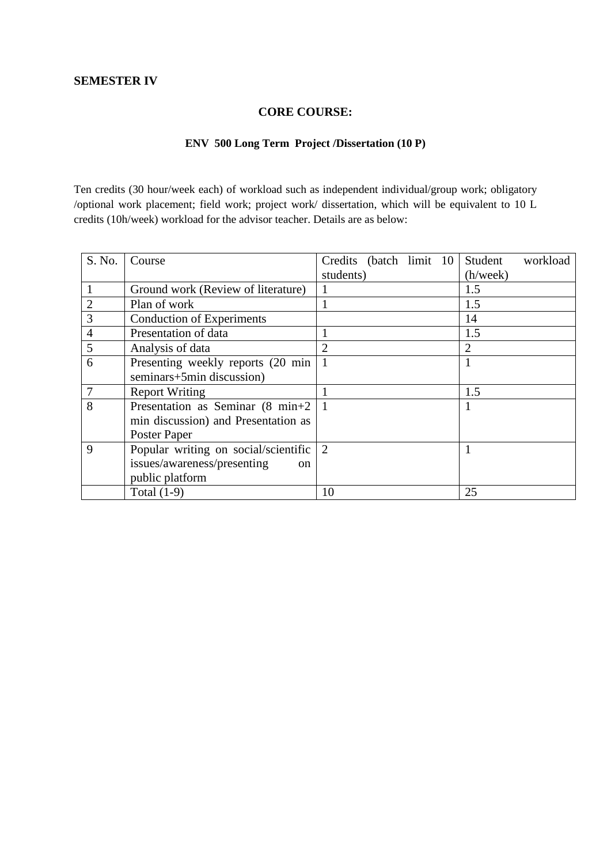# **CORE COURSE:**

# **ENV 500 Long Term Project /Dissertation (10 P)**

Ten credits (30 hour/week each) of workload such as independent individual/group work; obligatory /optional work placement; field work; project work/ dissertation, which will be equivalent to 10 L credits (10h/week) workload for the advisor teacher. Details are as below:

| S. No.         | Course                                       | Credits (batch limit 10) | Student<br>workload |
|----------------|----------------------------------------------|--------------------------|---------------------|
|                |                                              | students)                | (h/week)            |
|                | Ground work (Review of literature)           |                          | 1.5                 |
| $\overline{2}$ | Plan of work                                 |                          | 1.5                 |
| $\mathfrak{Z}$ | <b>Conduction of Experiments</b>             |                          | 14                  |
| $\overline{4}$ | Presentation of data                         |                          | 1.5                 |
| 5              | Analysis of data                             |                          | 2                   |
| 6              | Presenting weekly reports (20 min)           |                          | 1                   |
|                | seminars+5min discussion)                    |                          |                     |
|                | <b>Report Writing</b>                        |                          | 1.5                 |
| 8              | Presentation as Seminar (8 min+2)            |                          | 1                   |
|                | min discussion) and Presentation as          |                          |                     |
|                | Poster Paper                                 |                          |                     |
| 9              | Popular writing on social/scientific         | 2                        |                     |
|                | issues/awareness/presenting<br><sub>on</sub> |                          |                     |
|                | public platform                              |                          |                     |
|                | Total $(1-9)$                                | 10                       | 25                  |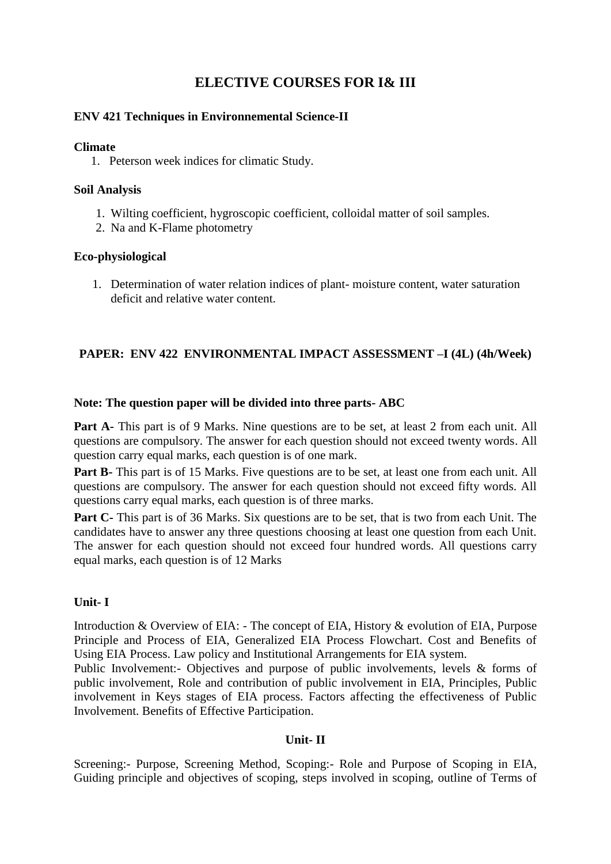# **ELECTIVE COURSES FOR I& III**

# **ENV 421 Techniques in Environnemental Science-II**

## **Climate**

1. Peterson week indices for climatic Study.

# **Soil Analysis**

- 1. Wilting coefficient, hygroscopic coefficient, colloidal matter of soil samples.
- 2. Na and K-Flame photometry

# **Eco-physiological**

1. Determination of water relation indices of plant- moisture content, water saturation deficit and relative water content.

# **PAPER: ENV 422 ENVIRONMENTAL IMPACT ASSESSMENT –I (4L) (4h/Week)**

# **Note: The question paper will be divided into three parts- ABC**

**Part A-** This part is of 9 Marks. Nine questions are to be set, at least 2 from each unit. All questions are compulsory. The answer for each question should not exceed twenty words. All question carry equal marks, each question is of one mark.

**Part B-** This part is of 15 Marks. Five questions are to be set, at least one from each unit. All questions are compulsory. The answer for each question should not exceed fifty words. All questions carry equal marks, each question is of three marks.

**Part C-** This part is of 36 Marks. Six questions are to be set, that is two from each Unit. The candidates have to answer any three questions choosing at least one question from each Unit. The answer for each question should not exceed four hundred words. All questions carry equal marks, each question is of 12 Marks

# **Unit- I**

Introduction & Overview of EIA: - The concept of EIA, History & evolution of EIA, Purpose Principle and Process of EIA, Generalized EIA Process Flowchart. Cost and Benefits of Using EIA Process. Law policy and Institutional Arrangements for EIA system.

Public Involvement:- Objectives and purpose of public involvements, levels & forms of public involvement, Role and contribution of public involvement in EIA, Principles, Public involvement in Keys stages of EIA process. Factors affecting the effectiveness of Public Involvement. Benefits of Effective Participation.

# **Unit- II**

Screening:- Purpose, Screening Method, Scoping:- Role and Purpose of Scoping in EIA, Guiding principle and objectives of scoping, steps involved in scoping, outline of Terms of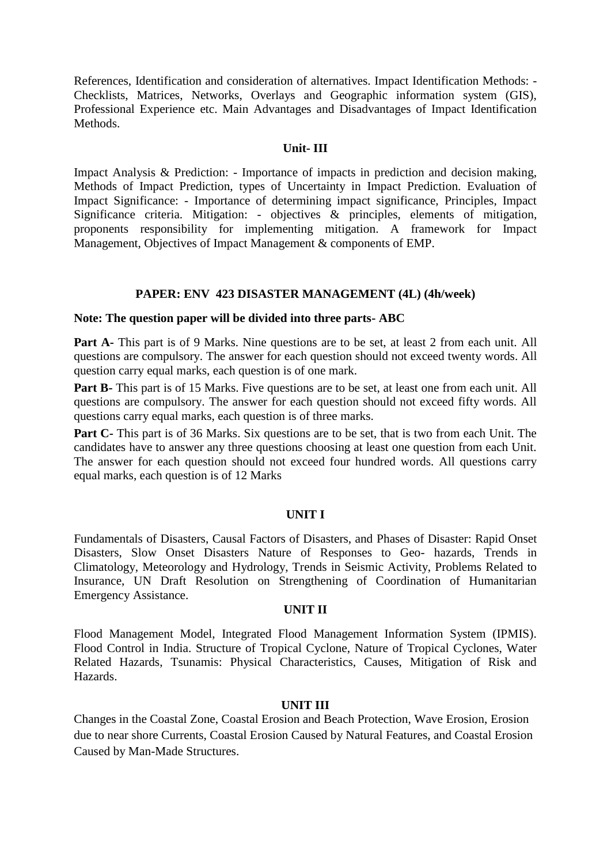References, Identification and consideration of alternatives. Impact Identification Methods: - Checklists, Matrices, Networks, Overlays and Geographic information system (GIS), Professional Experience etc. Main Advantages and Disadvantages of Impact Identification Methods.

## **Unit- III**

Impact Analysis & Prediction: - Importance of impacts in prediction and decision making, Methods of Impact Prediction, types of Uncertainty in Impact Prediction. Evaluation of Impact Significance: - Importance of determining impact significance, Principles, Impact Significance criteria. Mitigation: - objectives & principles, elements of mitigation, proponents responsibility for implementing mitigation. A framework for Impact Management, Objectives of Impact Management & components of EMP.

# **PAPER: ENV 423 DISASTER MANAGEMENT (4L) (4h/week)**

# **Note: The question paper will be divided into three parts- ABC**

Part A- This part is of 9 Marks. Nine questions are to be set, at least 2 from each unit. All questions are compulsory. The answer for each question should not exceed twenty words. All question carry equal marks, each question is of one mark.

**Part B-** This part is of 15 Marks. Five questions are to be set, at least one from each unit. All questions are compulsory. The answer for each question should not exceed fifty words. All questions carry equal marks, each question is of three marks.

**Part C-** This part is of 36 Marks. Six questions are to be set, that is two from each Unit. The candidates have to answer any three questions choosing at least one question from each Unit. The answer for each question should not exceed four hundred words. All questions carry equal marks, each question is of 12 Marks

# **UNIT I**

Fundamentals of Disasters, Causal Factors of Disasters, and Phases of Disaster: Rapid Onset Disasters, Slow Onset Disasters Nature of Responses to Geo- hazards, Trends in Climatology, Meteorology and Hydrology, Trends in Seismic Activity, Problems Related to Insurance, UN Draft Resolution on Strengthening of Coordination of Humanitarian Emergency Assistance.

## **UNIT II**

Flood Management Model, Integrated Flood Management Information System (IPMIS). Flood Control in India. Structure of Tropical Cyclone, Nature of Tropical Cyclones, Water Related Hazards, Tsunamis: Physical Characteristics, Causes, Mitigation of Risk and Hazards.

## **UNIT III**

Changes in the Coastal Zone, Coastal Erosion and Beach Protection, Wave Erosion, Erosion due to near shore Currents, Coastal Erosion Caused by Natural Features, and Coastal Erosion Caused by Man-Made Structures.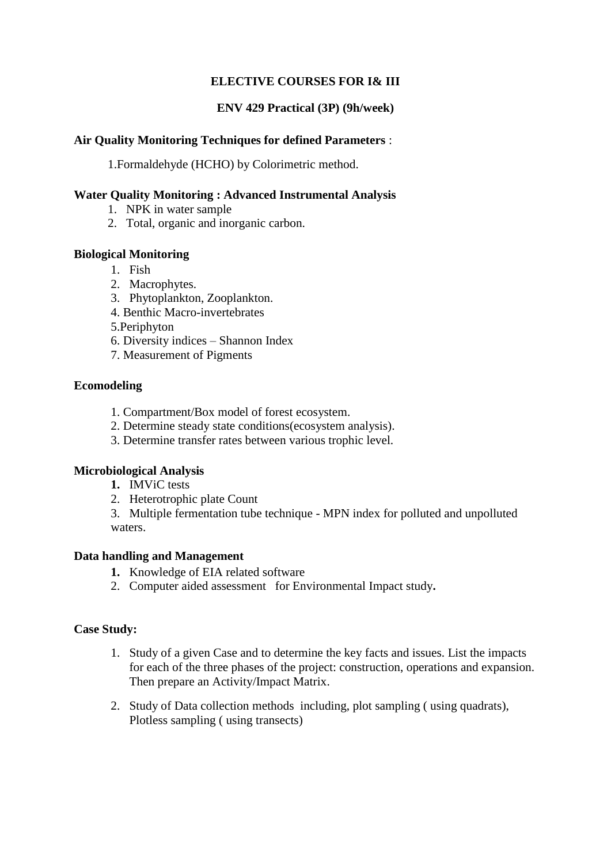# **ELECTIVE COURSES FOR I& III**

# **ENV 429 Practical (3P) (9h/week)**

# **Air Quality Monitoring Techniques for defined Parameters** :

1.Formaldehyde (HCHO) by Colorimetric method.

# **Water Quality Monitoring : Advanced Instrumental Analysis**

- 1. NPK in water sample
- 2. Total, organic and inorganic carbon.

# **Biological Monitoring**

- 1. Fish
- 2. Macrophytes.
- 3. Phytoplankton, Zooplankton.
- 4. Benthic Macro-invertebrates
- 5.Periphyton
- 6. Diversity indices Shannon Index
- 7. Measurement of Pigments

# **Ecomodeling**

- 1. Compartment/Box model of forest ecosystem.
- 2. Determine steady state conditions(ecosystem analysis).
- 3. Determine transfer rates between various trophic level.

# **Microbiological Analysis**

- **1.** IMViC tests
- 2. Heterotrophic plate Count

3. Multiple fermentation tube technique - MPN index for polluted and unpolluted waters.

# **Data handling and Management**

- **1.** Knowledge of EIA related software
- 2. Computer aided assessment for Environmental Impact study**.**

# **Case Study:**

- 1. Study of a given Case and to determine the key facts and issues. List the impacts for each of the three phases of the project: construction, operations and expansion. Then prepare an Activity/Impact Matrix.
- 2. Study of Data collection methods including, plot sampling ( using quadrats), Plotless sampling ( using transects)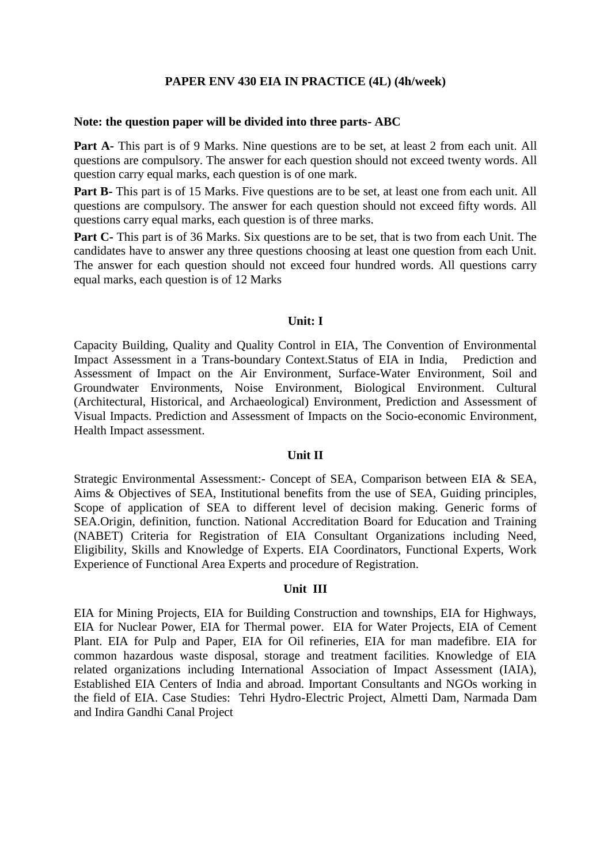## **PAPER ENV 430 EIA IN PRACTICE (4L) (4h/week)**

#### **Note: the question paper will be divided into three parts- ABC**

Part A- This part is of 9 Marks. Nine questions are to be set, at least 2 from each unit. All questions are compulsory. The answer for each question should not exceed twenty words. All question carry equal marks, each question is of one mark.

Part B- This part is of 15 Marks. Five questions are to be set, at least one from each unit. All questions are compulsory. The answer for each question should not exceed fifty words. All questions carry equal marks, each question is of three marks.

**Part C-** This part is of 36 Marks. Six questions are to be set, that is two from each Unit. The candidates have to answer any three questions choosing at least one question from each Unit. The answer for each question should not exceed four hundred words. All questions carry equal marks, each question is of 12 Marks

#### **Unit: I**

Capacity Building, Quality and Quality Control in EIA, The Convention of Environmental Impact Assessment in a Trans-boundary Context.Status of EIA in India, Prediction and Assessment of Impact on the Air Environment, Surface-Water Environment, Soil and Groundwater Environments, Noise Environment, Biological Environment. Cultural (Architectural, Historical, and Archaeological) Environment, Prediction and Assessment of Visual Impacts. Prediction and Assessment of Impacts on the Socio-economic Environment, Health Impact assessment.

## **Unit II**

Strategic Environmental Assessment:- Concept of SEA, Comparison between EIA & SEA, Aims & Objectives of SEA, Institutional benefits from the use of SEA, Guiding principles, Scope of application of SEA to different level of decision making. Generic forms of SEA.Origin, definition, function. National Accreditation Board for Education and Training (NABET) Criteria for Registration of EIA Consultant Organizations including Need, Eligibility, Skills and Knowledge of Experts. EIA Coordinators, Functional Experts, Work Experience of Functional Area Experts and procedure of Registration.

#### **Unit III**

EIA for Mining Projects, EIA for Building Construction and townships, EIA for Highways, EIA for Nuclear Power, EIA for Thermal power. EIA for Water Projects, EIA of Cement Plant. EIA for Pulp and Paper, EIA for Oil refineries, EIA for man madefibre. EIA for common hazardous waste disposal, storage and treatment facilities. Knowledge of EIA related organizations including International Association of Impact Assessment (IAIA), Established EIA Centers of India and abroad. Important Consultants and NGOs working in the field of EIA. Case Studies: Tehri Hydro-Electric Project, Almetti Dam, Narmada Dam and Indira Gandhi Canal Project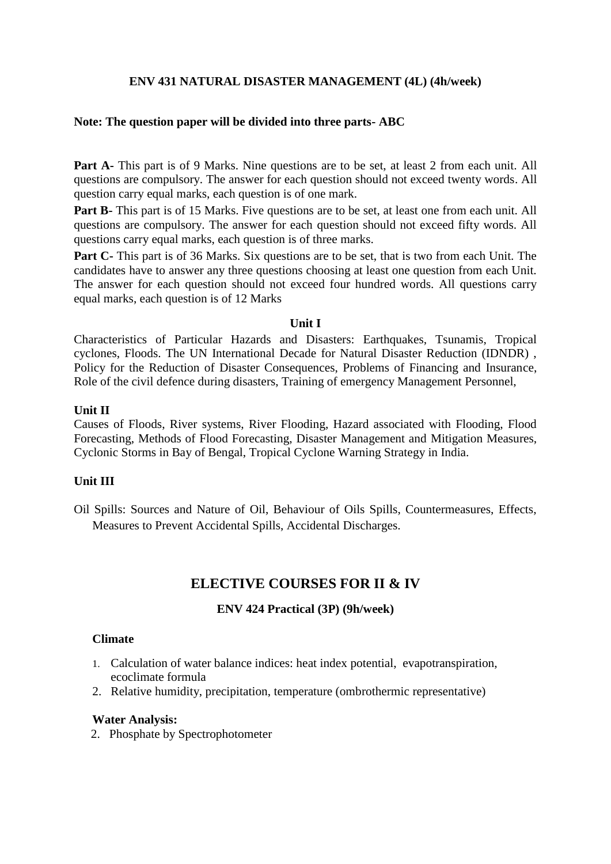# **ENV 431 NATURAL DISASTER MANAGEMENT (4L) (4h/week)**

# **Note: The question paper will be divided into three parts- ABC**

Part A- This part is of 9 Marks. Nine questions are to be set, at least 2 from each unit. All questions are compulsory. The answer for each question should not exceed twenty words. All question carry equal marks, each question is of one mark.

Part B- This part is of 15 Marks. Five questions are to be set, at least one from each unit. All questions are compulsory. The answer for each question should not exceed fifty words. All questions carry equal marks, each question is of three marks.

**Part C-** This part is of 36 Marks. Six questions are to be set, that is two from each Unit. The candidates have to answer any three questions choosing at least one question from each Unit. The answer for each question should not exceed four hundred words. All questions carry equal marks, each question is of 12 Marks

## **Unit I**

Characteristics of Particular Hazards and Disasters: Earthquakes, Tsunamis, Tropical cyclones, Floods. The UN International Decade for Natural Disaster Reduction (IDNDR) , Policy for the Reduction of Disaster Consequences, Problems of Financing and Insurance, Role of the civil defence during disasters, Training of emergency Management Personnel,

## **Unit II**

Causes of Floods, River systems, River Flooding, Hazard associated with Flooding, Flood Forecasting, Methods of Flood Forecasting, Disaster Management and Mitigation Measures, Cyclonic Storms in Bay of Bengal, Tropical Cyclone Warning Strategy in India.

## **Unit III**

Oil Spills: Sources and Nature of Oil, Behaviour of Oils Spills, Countermeasures, Effects, Measures to Prevent Accidental Spills, Accidental Discharges.

# **ELECTIVE COURSES FOR II & IV**

## **ENV 424 Practical (3P) (9h/week)**

## **Climate**

- 1. Calculation of water balance indices: heat index potential, evapotranspiration, ecoclimate formula
- 2. Relative humidity, precipitation, temperature (ombrothermic representative)

## **Water Analysis:**

2. Phosphate by Spectrophotometer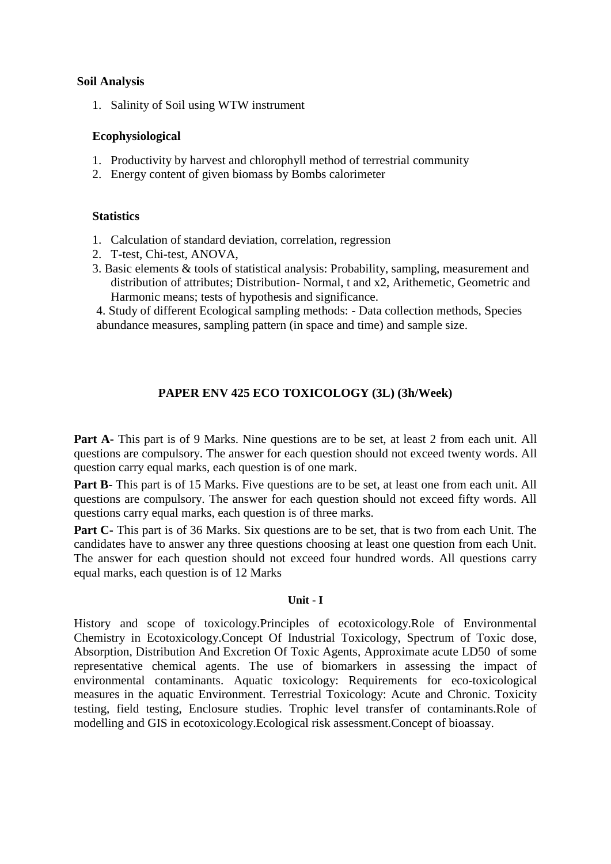# **Soil Analysis**

1. Salinity of Soil using WTW instrument

# **Ecophysiological**

- 1. Productivity by harvest and chlorophyll method of terrestrial community
- 2. Energy content of given biomass by Bombs calorimeter

## **Statistics**

- 1. Calculation of standard deviation, correlation, regression
- 2. T-test, Chi-test, ANOVA,
- 3. Basic elements & tools of statistical analysis: Probability, sampling, measurement and distribution of attributes; Distribution- Normal, t and x2, Arithemetic, Geometric and Harmonic means; tests of hypothesis and significance.

 4. Study of different Ecological sampling methods: - Data collection methods, Species abundance measures, sampling pattern (in space and time) and sample size.

# **PAPER ENV 425 ECO TOXICOLOGY (3L) (3h/Week)**

Part A- This part is of 9 Marks. Nine questions are to be set, at least 2 from each unit. All questions are compulsory. The answer for each question should not exceed twenty words. All question carry equal marks, each question is of one mark.

Part B- This part is of 15 Marks. Five questions are to be set, at least one from each unit. All questions are compulsory. The answer for each question should not exceed fifty words. All questions carry equal marks, each question is of three marks.

Part C- This part is of 36 Marks. Six questions are to be set, that is two from each Unit. The candidates have to answer any three questions choosing at least one question from each Unit. The answer for each question should not exceed four hundred words. All questions carry equal marks, each question is of 12 Marks

## **Unit - I**

History and scope of toxicology.Principles of ecotoxicology.Role of Environmental Chemistry in Ecotoxicology.Concept Of Industrial Toxicology, Spectrum of Toxic dose, Absorption, Distribution And Excretion Of Toxic Agents, Approximate acute LD50 of some representative chemical agents. The use of biomarkers in assessing the impact of environmental contaminants. Aquatic toxicology: Requirements for eco-toxicological measures in the aquatic Environment. Terrestrial Toxicology: Acute and Chronic. Toxicity testing, field testing, Enclosure studies. Trophic level transfer of contaminants.Role of modelling and GIS in ecotoxicology.Ecological risk assessment.Concept of bioassay.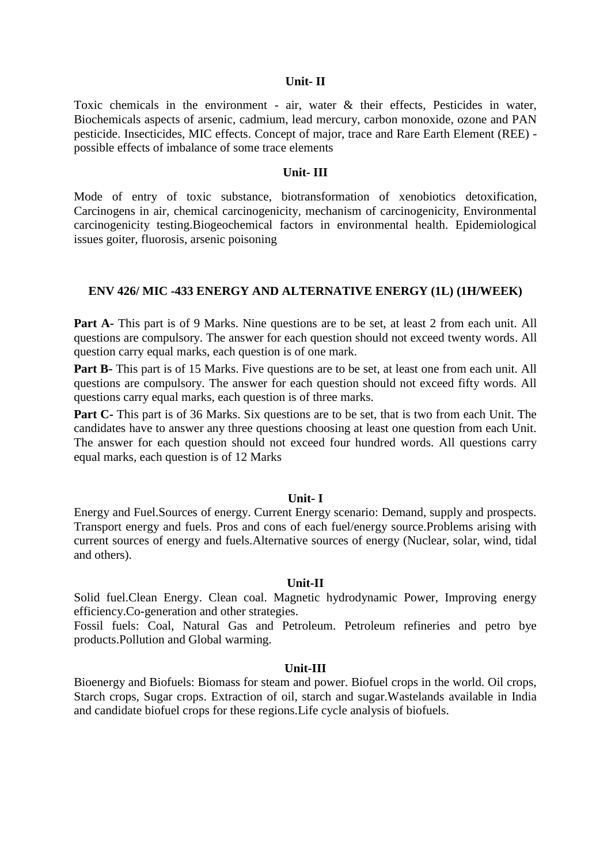#### **Unit- II**

Toxic chemicals in the environment - air, water & their effects, Pesticides in water, Biochemicals aspects of arsenic, cadmium, lead mercury, carbon monoxide, ozone and PAN pesticide. Insecticides, MIC effects. Concept of major, trace and Rare Earth Element (REE) possible effects of imbalance of some trace elements

### **Unit- III**

Mode of entry of toxic substance, biotransformation of xenobiotics detoxification, Carcinogens in air, chemical carcinogenicity, mechanism of carcinogenicity, Environmental carcinogenicity testing.Biogeochemical factors in environmental health. Epidemiological issues goiter, fluorosis, arsenic poisoning

## **ENV 426/ MIC -433 ENERGY AND ALTERNATIVE ENERGY (1L) (1H/WEEK)**

**Part A-** This part is of 9 Marks. Nine questions are to be set, at least 2 from each unit. All questions are compulsory. The answer for each question should not exceed twenty words. All question carry equal marks, each question is of one mark.

Part B- This part is of 15 Marks. Five questions are to be set, at least one from each unit. All questions are compulsory. The answer for each question should not exceed fifty words. All questions carry equal marks, each question is of three marks.

**Part C-** This part is of 36 Marks. Six questions are to be set, that is two from each Unit. The candidates have to answer any three questions choosing at least one question from each Unit. The answer for each question should not exceed four hundred words. All questions carry equal marks, each question is of 12 Marks

#### **Unit- I**

Energy and Fuel.Sources of energy. Current Energy scenario: Demand, supply and prospects. Transport energy and fuels. Pros and cons of each fuel/energy source.Problems arising with current sources of energy and fuels.Alternative sources of energy (Nuclear, solar, wind, tidal and others).

#### **Unit-II**

Solid fuel.Clean Energy. Clean coal. Magnetic hydrodynamic Power, Improving energy efficiency.Co-generation and other strategies.

Fossil fuels: Coal, Natural Gas and Petroleum. Petroleum refineries and petro bye products.Pollution and Global warming.

### **Unit-III**

Bioenergy and Biofuels: Biomass for steam and power. Biofuel crops in the world. Oil crops, Starch crops, Sugar crops. Extraction of oil, starch and sugar.Wastelands available in India and candidate biofuel crops for these regions.Life cycle analysis of biofuels.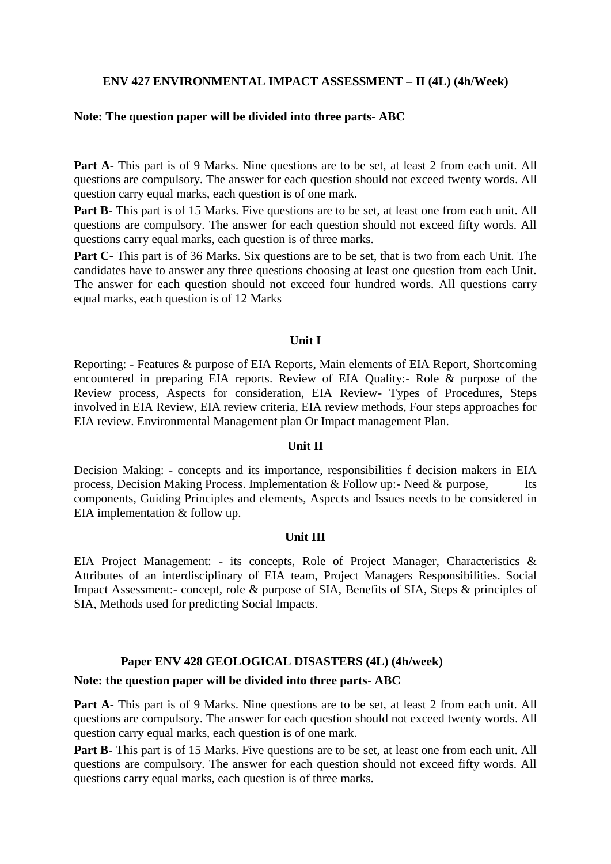# **ENV 427 ENVIRONMENTAL IMPACT ASSESSMENT – II (4L) (4h/Week)**

## **Note: The question paper will be divided into three parts- ABC**

**Part A-** This part is of 9 Marks. Nine questions are to be set, at least 2 from each unit. All questions are compulsory. The answer for each question should not exceed twenty words. All question carry equal marks, each question is of one mark.

**Part B-** This part is of 15 Marks. Five questions are to be set, at least one from each unit. All questions are compulsory. The answer for each question should not exceed fifty words. All questions carry equal marks, each question is of three marks.

**Part C-** This part is of 36 Marks. Six questions are to be set, that is two from each Unit. The candidates have to answer any three questions choosing at least one question from each Unit. The answer for each question should not exceed four hundred words. All questions carry equal marks, each question is of 12 Marks

## **Unit I**

Reporting: - Features & purpose of EIA Reports, Main elements of EIA Report, Shortcoming encountered in preparing EIA reports. Review of EIA Quality:- Role & purpose of the Review process, Aspects for consideration, EIA Review- Types of Procedures, Steps involved in EIA Review, EIA review criteria, EIA review methods, Four steps approaches for EIA review. Environmental Management plan Or Impact management Plan.

## **Unit II**

Decision Making: - concepts and its importance, responsibilities f decision makers in EIA process, Decision Making Process. Implementation  $\&$  Follow up:- Need  $\&$  purpose, Its components, Guiding Principles and elements, Aspects and Issues needs to be considered in EIA implementation & follow up.

## **Unit III**

EIA Project Management: - its concepts, Role of Project Manager, Characteristics & Attributes of an interdisciplinary of EIA team, Project Managers Responsibilities. Social Impact Assessment:- concept, role & purpose of SIA, Benefits of SIA, Steps & principles of SIA, Methods used for predicting Social Impacts.

# **Paper ENV 428 GEOLOGICAL DISASTERS (4L) (4h/week)**

# **Note: the question paper will be divided into three parts- ABC**

Part A- This part is of 9 Marks. Nine questions are to be set, at least 2 from each unit. All questions are compulsory. The answer for each question should not exceed twenty words. All question carry equal marks, each question is of one mark.

**Part B-** This part is of 15 Marks. Five questions are to be set, at least one from each unit. All questions are compulsory. The answer for each question should not exceed fifty words. All questions carry equal marks, each question is of three marks.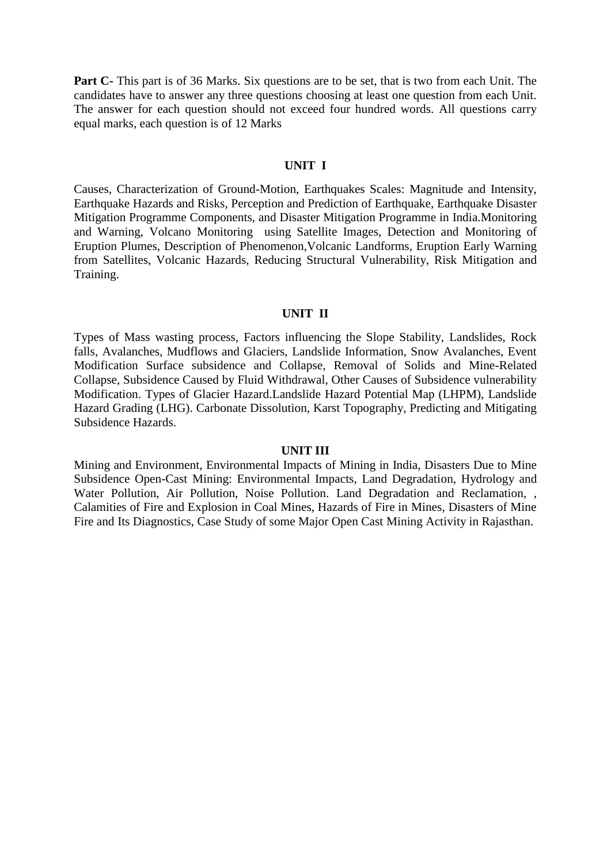**Part C-** This part is of 36 Marks. Six questions are to be set, that is two from each Unit. The candidates have to answer any three questions choosing at least one question from each Unit. The answer for each question should not exceed four hundred words. All questions carry equal marks, each question is of 12 Marks

## **UNIT I**

Causes, Characterization of Ground-Motion, Earthquakes Scales: Magnitude and Intensity, Earthquake Hazards and Risks, Perception and Prediction of Earthquake, Earthquake Disaster Mitigation Programme Components, and Disaster Mitigation Programme in India.Monitoring and Warning, Volcano Monitoring using Satellite Images, Detection and Monitoring of Eruption Plumes, Description of Phenomenon,Volcanic Landforms, Eruption Early Warning from Satellites, Volcanic Hazards, Reducing Structural Vulnerability, Risk Mitigation and Training.

#### **UNIT II**

Types of Mass wasting process, Factors influencing the Slope Stability, Landslides, Rock falls, Avalanches, Mudflows and Glaciers, Landslide Information, Snow Avalanches, Event Modification Surface subsidence and Collapse, Removal of Solids and Mine-Related Collapse, Subsidence Caused by Fluid Withdrawal, Other Causes of Subsidence vulnerability Modification. Types of Glacier Hazard.Landslide Hazard Potential Map (LHPM), Landslide Hazard Grading (LHG). Carbonate Dissolution, Karst Topography, Predicting and Mitigating Subsidence Hazards.

#### **UNIT III**

Mining and Environment, Environmental Impacts of Mining in India, Disasters Due to Mine Subsidence Open-Cast Mining: Environmental Impacts, Land Degradation, Hydrology and Water Pollution, Air Pollution, Noise Pollution. Land Degradation and Reclamation, , Calamities of Fire and Explosion in Coal Mines, Hazards of Fire in Mines, Disasters of Mine Fire and Its Diagnostics, Case Study of some Major Open Cast Mining Activity in Rajasthan.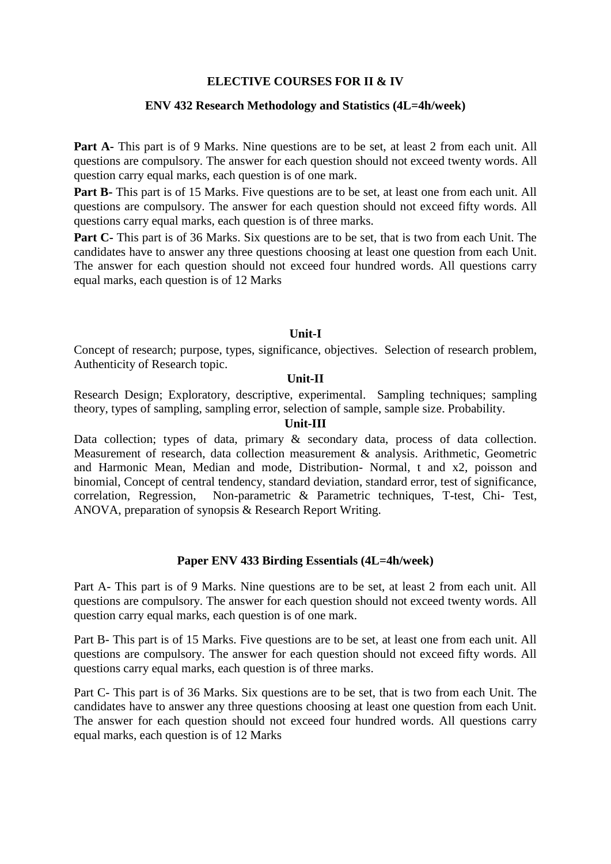## **ELECTIVE COURSES FOR II & IV**

## **ENV 432 Research Methodology and Statistics (4L=4h/week)**

Part A- This part is of 9 Marks. Nine questions are to be set, at least 2 from each unit. All questions are compulsory. The answer for each question should not exceed twenty words. All question carry equal marks, each question is of one mark.

**Part B-** This part is of 15 Marks. Five questions are to be set, at least one from each unit. All questions are compulsory. The answer for each question should not exceed fifty words. All questions carry equal marks, each question is of three marks.

Part C- This part is of 36 Marks. Six questions are to be set, that is two from each Unit. The candidates have to answer any three questions choosing at least one question from each Unit. The answer for each question should not exceed four hundred words. All questions carry equal marks, each question is of 12 Marks

# **Unit-I**

Concept of research; purpose, types, significance, objectives. Selection of research problem, Authenticity of Research topic.

## **Unit-II**

Research Design; Exploratory, descriptive, experimental. Sampling techniques; sampling theory, types of sampling, sampling error, selection of sample, sample size. Probability.

#### **Unit-III**

Data collection; types of data, primary & secondary data, process of data collection. Measurement of research, data collection measurement & analysis. Arithmetic, Geometric and Harmonic Mean, Median and mode, Distribution- Normal, t and x2, poisson and binomial, Concept of central tendency, standard deviation, standard error, test of significance, correlation, Regression, Non-parametric & Parametric techniques, T-test, Chi- Test, ANOVA, preparation of synopsis & Research Report Writing.

## **Paper ENV 433 Birding Essentials (4L=4h/week)**

Part A- This part is of 9 Marks. Nine questions are to be set, at least 2 from each unit. All questions are compulsory. The answer for each question should not exceed twenty words. All question carry equal marks, each question is of one mark.

Part B- This part is of 15 Marks. Five questions are to be set, at least one from each unit. All questions are compulsory. The answer for each question should not exceed fifty words. All questions carry equal marks, each question is of three marks.

Part C- This part is of 36 Marks. Six questions are to be set, that is two from each Unit. The candidates have to answer any three questions choosing at least one question from each Unit. The answer for each question should not exceed four hundred words. All questions carry equal marks, each question is of 12 Marks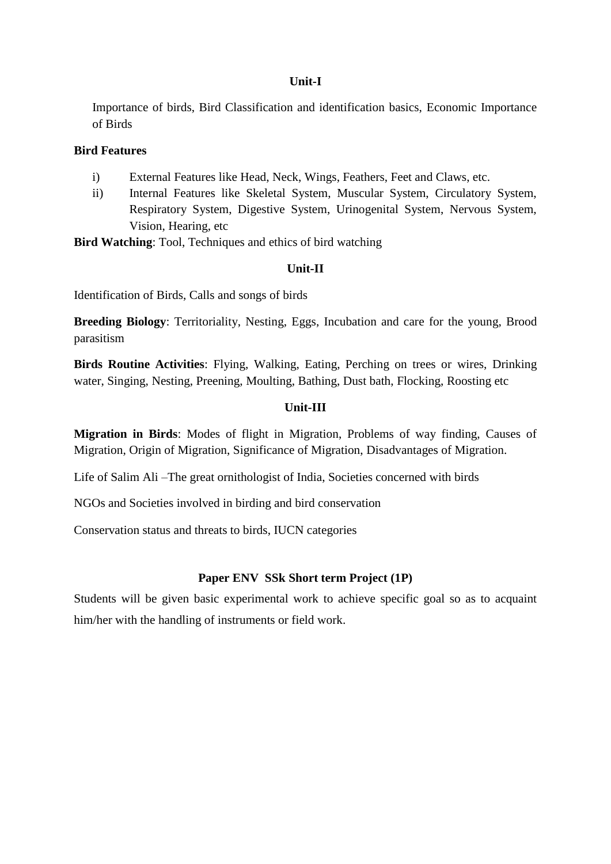## **Unit-I**

Importance of birds, Bird Classification and identification basics, Economic Importance of Birds

## **Bird Features**

- i) External Features like Head, Neck, Wings, Feathers, Feet and Claws, etc.
- ii) Internal Features like Skeletal System, Muscular System, Circulatory System, Respiratory System, Digestive System, Urinogenital System, Nervous System, Vision, Hearing, etc

**Bird Watching**: Tool, Techniques and ethics of bird watching

# **Unit-II**

Identification of Birds, Calls and songs of birds

**Breeding Biology**: Territoriality, Nesting, Eggs, Incubation and care for the young, Brood parasitism

**Birds Routine Activities**: Flying, Walking, Eating, Perching on trees or wires, Drinking water, Singing, Nesting, Preening, Moulting, Bathing, Dust bath, Flocking, Roosting etc

# **Unit-III**

**Migration in Birds**: Modes of flight in Migration, Problems of way finding, Causes of Migration, Origin of Migration, Significance of Migration, Disadvantages of Migration.

Life of Salim Ali –The great ornithologist of India, Societies concerned with birds

NGOs and Societies involved in birding and bird conservation

Conservation status and threats to birds, IUCN categories

# **Paper ENV SSk Short term Project (1P)**

Students will be given basic experimental work to achieve specific goal so as to acquaint him/her with the handling of instruments or field work.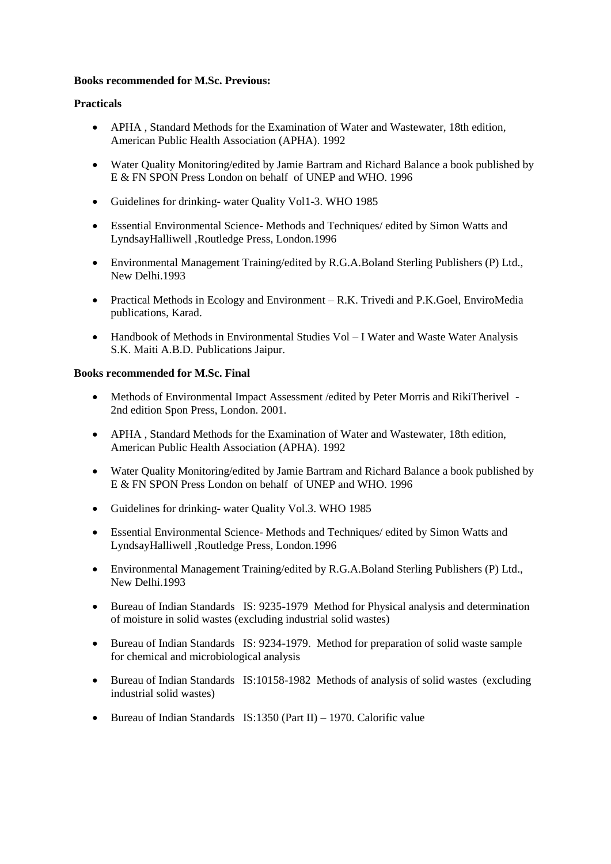## **Books recommended for M.Sc. Previous:**

## **Practicals**

- APHA , Standard Methods for the Examination of Water and Wastewater, 18th edition, American Public Health Association (APHA). 1992
- Water Quality Monitoring/edited by Jamie Bartram and Richard Balance a book published by E & FN SPON Press London on behalf of UNEP and WHO. 1996
- Guidelines for drinking- water Quality Vol1-3. WHO 1985
- Essential Environmental Science- Methods and Techniques/ edited by Simon Watts and LyndsayHalliwell ,Routledge Press, London.1996
- Environmental Management Training/edited by R.G.A.Boland Sterling Publishers (P) Ltd., New Delhi.1993
- Practical Methods in Ecology and Environment R.K. Trivedi and P.K.Goel, EnviroMedia publications, Karad.
- Handbook of Methods in Environmental Studies Vol I Water and Waste Water Analysis S.K. Maiti A.B.D. Publications Jaipur.

## **Books recommended for M.Sc. Final**

- Methods of Environmental Impact Assessment /edited by Peter Morris and RikiTherivel 2nd edition Spon Press, London. 2001.
- APHA , Standard Methods for the Examination of Water and Wastewater, 18th edition, American Public Health Association (APHA). 1992
- Water Quality Monitoring/edited by Jamie Bartram and Richard Balance a book published by E & FN SPON Press London on behalf of UNEP and WHO. 1996
- Guidelines for drinking- water Quality Vol.3. WHO 1985
- Essential Environmental Science- Methods and Techniques/ edited by Simon Watts and LyndsayHalliwell ,Routledge Press, London.1996
- Environmental Management Training/edited by R.G.A.Boland Sterling Publishers (P) Ltd., New Delhi.1993
- Bureau of Indian Standards IS: 9235-1979 Method for Physical analysis and determination of moisture in solid wastes (excluding industrial solid wastes)
- Bureau of Indian Standards IS: 9234-1979. Method for preparation of solid waste sample for chemical and microbiological analysis
- Bureau of Indian Standards IS:10158-1982 Methods of analysis of solid wastes (excluding industrial solid wastes)
- $\bullet$  Bureau of Indian Standards IS:1350 (Part II) 1970. Calorific value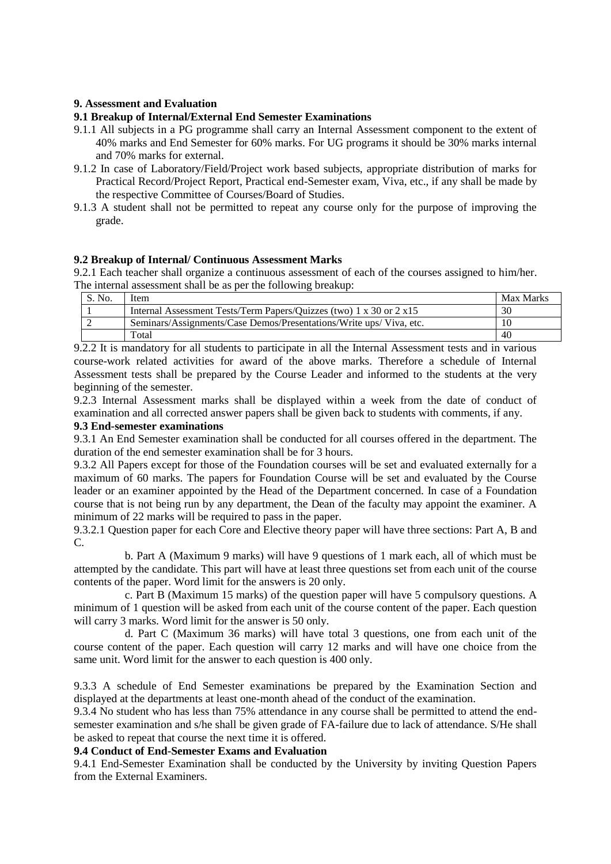## **9. Assessment and Evaluation**

## **9.1 Breakup of Internal/External End Semester Examinations**

- 9.1.1 All subjects in a PG programme shall carry an Internal Assessment component to the extent of 40% marks and End Semester for 60% marks. For UG programs it should be 30% marks internal and 70% marks for external.
- 9.1.2 In case of Laboratory/Field/Project work based subjects, appropriate distribution of marks for Practical Record/Project Report, Practical end-Semester exam, Viva, etc., if any shall be made by the respective Committee of Courses/Board of Studies.
- 9.1.3 A student shall not be permitted to repeat any course only for the purpose of improving the grade.

#### **9.2 Breakup of Internal/ Continuous Assessment Marks**

9.2.1 Each teacher shall organize a continuous assessment of each of the courses assigned to him/her. The internal assessment shall be as per the following breakup:

| S. No. | Item                                                                               | Max Marks |
|--------|------------------------------------------------------------------------------------|-----------|
|        | Internal Assessment Tests/Term Papers/Ouizzes (two) $1 \times 30$ or $2 \times 15$ | 30        |
|        | Seminars/Assignments/Case Demos/Presentations/Write ups/Viva, etc.                 | 10        |
|        | Total                                                                              | 40        |

9.2.2 It is mandatory for all students to participate in all the Internal Assessment tests and in various course-work related activities for award of the above marks. Therefore a schedule of Internal Assessment tests shall be prepared by the Course Leader and informed to the students at the very beginning of the semester.

9.2.3 Internal Assessment marks shall be displayed within a week from the date of conduct of examination and all corrected answer papers shall be given back to students with comments, if any.

#### **9.3 End-semester examinations**

9.3.1 An End Semester examination shall be conducted for all courses offered in the department. The duration of the end semester examination shall be for 3 hours.

9.3.2 All Papers except for those of the Foundation courses will be set and evaluated externally for a maximum of 60 marks. The papers for Foundation Course will be set and evaluated by the Course leader or an examiner appointed by the Head of the Department concerned. In case of a Foundation course that is not being run by any department, the Dean of the faculty may appoint the examiner. A minimum of 22 marks will be required to pass in the paper.

9.3.2.1 Question paper for each Core and Elective theory paper will have three sections: Part A, B and C.

b. Part A (Maximum 9 marks) will have 9 questions of 1 mark each, all of which must be attempted by the candidate. This part will have at least three questions set from each unit of the course contents of the paper. Word limit for the answers is 20 only.

c. Part B (Maximum 15 marks) of the question paper will have 5 compulsory questions. A minimum of 1 question will be asked from each unit of the course content of the paper. Each question will carry 3 marks. Word limit for the answer is 50 only.

d. Part C (Maximum 36 marks) will have total 3 questions, one from each unit of the course content of the paper. Each question will carry 12 marks and will have one choice from the same unit. Word limit for the answer to each question is 400 only.

9.3.3 A schedule of End Semester examinations be prepared by the Examination Section and displayed at the departments at least one-month ahead of the conduct of the examination.

9.3.4 No student who has less than 75% attendance in any course shall be permitted to attend the endsemester examination and s/he shall be given grade of FA-failure due to lack of attendance. S/He shall be asked to repeat that course the next time it is offered.

#### **9.4 Conduct of End-Semester Exams and Evaluation**

9.4.1 End-Semester Examination shall be conducted by the University by inviting Question Papers from the External Examiners.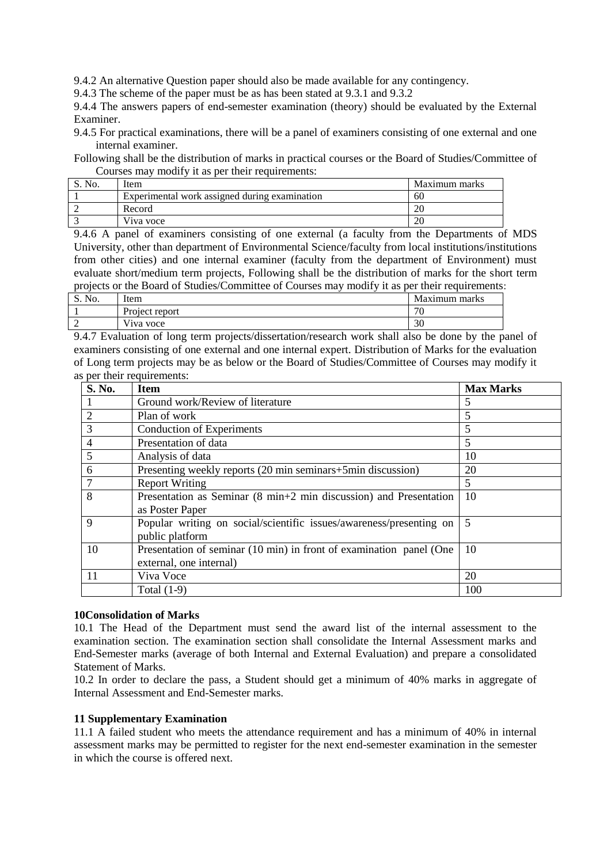9.4.2 An alternative Question paper should also be made available for any contingency.

9.4.3 The scheme of the paper must be as has been stated at 9.3.1 and 9.3.2

9.4.4 The answers papers of end-semester examination (theory) should be evaluated by the External Examiner.

9.4.5 For practical examinations, there will be a panel of examiners consisting of one external and one internal examiner.

Following shall be the distribution of marks in practical courses or the Board of Studies/Committee of Courses may modify it as per their requirements:

| S. No. | Item                                          | Maximum marks |
|--------|-----------------------------------------------|---------------|
|        | Experimental work assigned during examination | 60            |
|        | Record                                        | 20            |
|        | Viva voce                                     | 20            |

9.4.6 A panel of examiners consisting of one external (a faculty from the Departments of MDS University, other than department of Environmental Science/faculty from local institutions/institutions from other cities) and one internal examiner (faculty from the department of Environment) must evaluate short/medium term projects, Following shall be the distribution of marks for the short term projects or the Board of Studies/Committee of Courses may modify it as per their requirements:

| No.<br>$\mathbf{D} \cdot \mathbf{I}$ | Item              | Maximum marks |
|--------------------------------------|-------------------|---------------|
|                                      | Project report    | $\pi$<br>'U   |
| ↗                                    | $-1$<br>Viva voce | nη<br>ЭU      |

9.4.7 Evaluation of long term projects/dissertation/research work shall also be done by the panel of examiners consisting of one external and one internal expert. Distribution of Marks for the evaluation of Long term projects may be as below or the Board of Studies/Committee of Courses may modify it as per their requirements:

| <b>S. No.</b>  | <b>Item</b>                                                                                    | <b>Max Marks</b> |
|----------------|------------------------------------------------------------------------------------------------|------------------|
|                | Ground work/Review of literature                                                               | 5                |
| $\overline{2}$ | Plan of work                                                                                   | 5                |
| 3              | <b>Conduction of Experiments</b>                                                               | 5                |
| 4              | Presentation of data                                                                           | 5                |
| 5              | Analysis of data                                                                               | 10               |
| 6              | Presenting weekly reports (20 min seminars+5min discussion)                                    | 20               |
|                | <b>Report Writing</b>                                                                          | 5                |
| 8              | Presentation as Seminar (8 min+2 min discussion) and Presentation                              | 10               |
|                | as Poster Paper                                                                                |                  |
| 9              | Popular writing on social/scientific issues/awareness/presenting on<br>public platform         | 5                |
| 10             | Presentation of seminar (10 min) in front of examination panel (One<br>external, one internal) | 10               |
| 11             | Viva Voce                                                                                      | 20               |
|                | Total $(1-9)$                                                                                  | 100              |

## **10Consolidation of Marks**

10.1 The Head of the Department must send the award list of the internal assessment to the examination section. The examination section shall consolidate the Internal Assessment marks and End-Semester marks (average of both Internal and External Evaluation) and prepare a consolidated Statement of Marks.

10.2 In order to declare the pass, a Student should get a minimum of 40% marks in aggregate of Internal Assessment and End-Semester marks.

## **11 Supplementary Examination**

11.1 A failed student who meets the attendance requirement and has a minimum of 40% in internal assessment marks may be permitted to register for the next end-semester examination in the semester in which the course is offered next.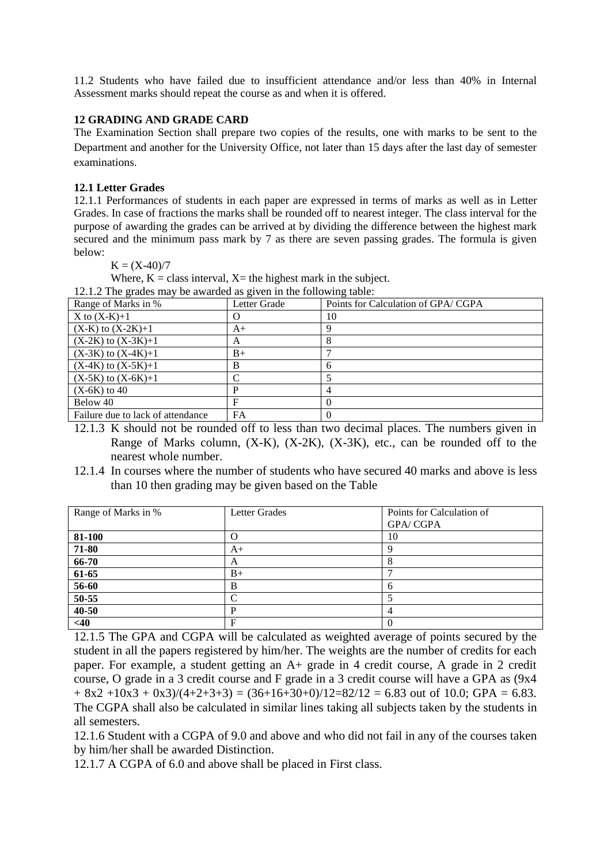11.2 Students who have failed due to insufficient attendance and/or less than 40% in Internal Assessment marks should repeat the course as and when it is offered.

## **12 GRADING AND GRADE CARD**

The Examination Section shall prepare two copies of the results, one with marks to be sent to the Department and another for the University Office, not later than 15 days after the last day of semester examinations.

## **12.1 Letter Grades**

12.1.1 Performances of students in each paper are expressed in terms of marks as well as in Letter Grades. In case of fractions the marks shall be rounded off to nearest integer. The class interval for the purpose of awarding the grades can be arrived at by dividing the difference between the highest mark secured and the minimum pass mark by 7 as there are seven passing grades. The formula is given below:

 $K = (X-40)/7$ 

Where,  $K =$  class interval,  $X =$  the highest mark in the subject.

12.1.2 The grades may be awarded as given in the following table:

| Range of Marks in %               | Letter Grade | Points for Calculation of GPA/CGPA |
|-----------------------------------|--------------|------------------------------------|
| $X$ to $(X-K)+1$                  | O            | 10                                 |
| $(X-K)$ to $(X-2K)+1$             | $A+$         |                                    |
| $(X-2K)$ to $(X-3K)+1$            | А            |                                    |
| $(X-3K)$ to $(X-4K)+1$            | $B+$         |                                    |
| $(X-4K)$ to $(X-5K)+1$            | B            | h                                  |
| $(X-5K)$ to $(X-6K)+1$            | C            |                                    |
| $(X-6K)$ to 40                    | D            |                                    |
| Below 40                          | F            |                                    |
| Failure due to lack of attendance | FA           |                                    |

- 12.1.3 K should not be rounded off to less than two decimal places. The numbers given in Range of Marks column,  $(X-K)$ ,  $(X-2K)$ ,  $(X-3K)$ , etc., can be rounded off to the nearest whole number.
- 12.1.4 In courses where the number of students who have secured 40 marks and above is less than 10 then grading may be given based on the Table

| Range of Marks in % | Letter Grades | Points for Calculation of |
|---------------------|---------------|---------------------------|
|                     |               | <b>GPA/CGPA</b>           |
| 81-100              |               | 10                        |
| 71-80               | A+            | O                         |
| 66-70               | А             |                           |
| 61-65               | $B+$          |                           |
| 56-60               | в             | h                         |
| 50-55               |               |                           |
| 40-50               |               | 4                         |
| <40                 | F             | $\bf{0}$                  |

12.1.5 The GPA and CGPA will be calculated as weighted average of points secured by the student in all the papers registered by him/her. The weights are the number of credits for each paper. For example, a student getting an A+ grade in 4 credit course, A grade in 2 credit course, O grade in a 3 credit course and F grade in a 3 credit course will have a GPA as (9x4  $+ 8x^2 + 10x^3 + 0x^3/(4+2+3+3) = (36+16+30+0)/12 = 82/12 = 6.83$  out of 10.0; GPA = 6.83. The CGPA shall also be calculated in similar lines taking all subjects taken by the students in all semesters.

12.1.6 Student with a CGPA of 9.0 and above and who did not fail in any of the courses taken by him/her shall be awarded Distinction.

12.1.7 A CGPA of 6.0 and above shall be placed in First class.